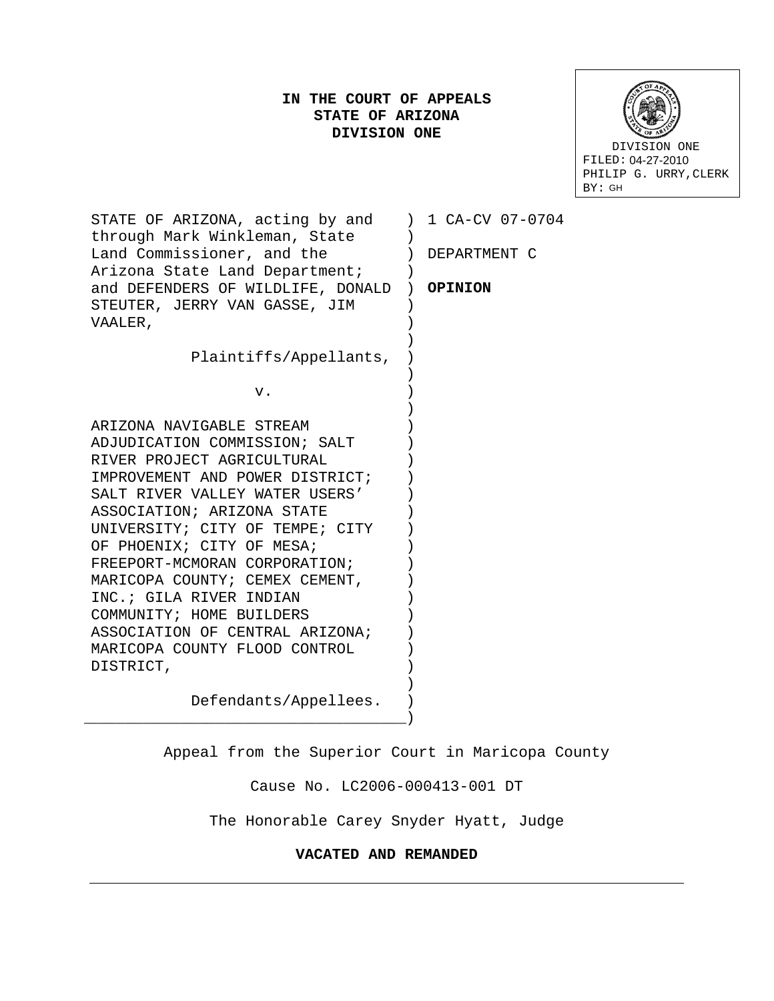# **IN THE COURT OF APPEALS STATE OF ARIZONA DIVISION ONE**



STATE OF ARIZONA, acting by and ) 1 CA-CV 07-0704 through Mark Winkleman, State Land Commissioner, and the Arizona State Land Department; (1988) and DEFENDERS OF WILDLIFE, DONALD ) **OPINION** STEUTER, JERRY VAN GASSE, JIM VAALER, Plaintiffs/Appellants, v. ARIZONA NAVIGABLE STREAM ADJUDICATION COMMISSION; SALT RIVER PROJECT AGRICULTURAL IMPROVEMENT AND POWER DISTRICT; SALT RIVER VALLEY WATER USERS' ASSOCIATION; ARIZONA STATE UNIVERSITY; CITY OF TEMPE; CITY OF PHOENIX; CITY OF MESA; FREEPORT-MCMORAN CORPORATION; MARICOPA COUNTY; CEMEX CEMENT, INC.; GILA RIVER INDIAN COMMUNITY; HOME BUILDERS ASSOCIATION OF CENTRAL ARIZONA; MARICOPA COUNTY FLOOD CONTROL DISTRICT, Defendants/Appellees. \_\_\_\_\_\_\_\_\_\_\_\_\_\_\_\_\_\_\_\_\_\_\_\_\_\_\_\_\_\_\_\_\_\_\_\_  $\left( \begin{array}{c} \end{array} \right)$ ) DEPARTMENT C  $)$ ) ) ) ) ) ) ) ) ) ) ) ) ) ) ) ) ) ) ) ) ) ) ) )

Appeal from the Superior Court in Maricopa County

Cause No. LC2006-000413-001 DT

The Honorable Carey Snyder Hyatt, Judge

## **VACATED AND REMANDED**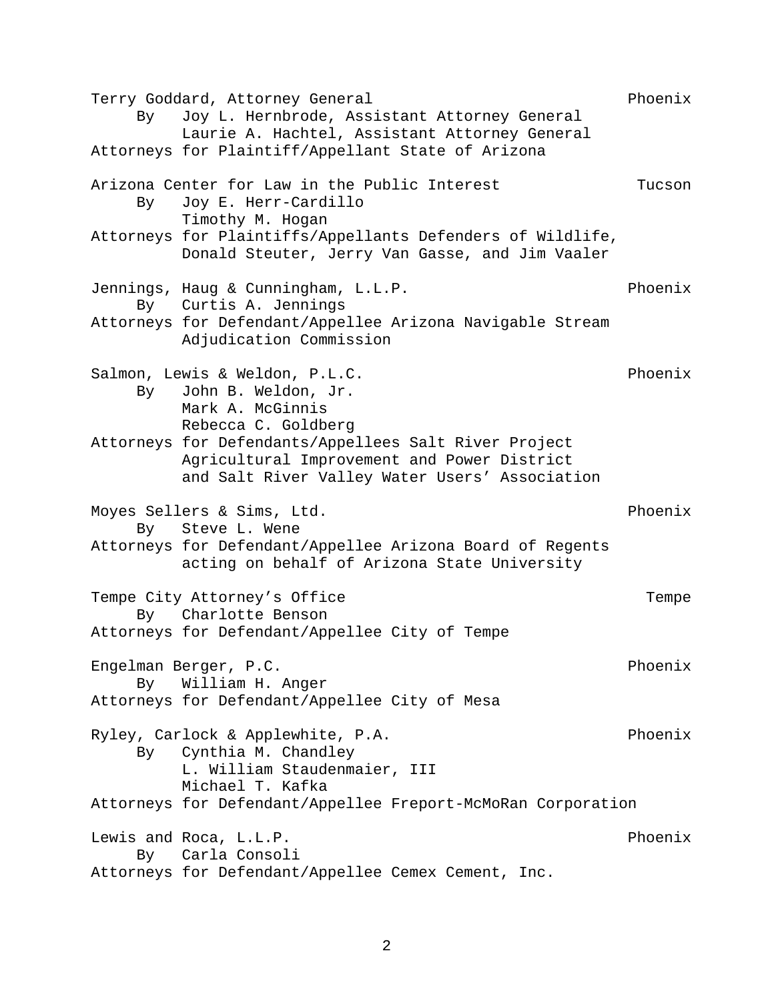Terry Goddard, Attorney General extending the Phoenix By Joy L. Hernbrode, Assistant Attorney General Laurie A. Hachtel, Assistant Attorney General Attorneys for Plaintiff/Appellant State of Arizona Arizona Center for Law in the Public Interest Tucson By Joy E. Herr-Cardillo Timothy M. Hogan Attorneys for Plaintiffs/Appellants Defenders of Wildlife, Donald Steuter, Jerry Van Gasse, and Jim Vaaler Jennings, Haug & Cunningham, L.L.P.<br>By Curtis A. Jennings By Curtis A. Jennings Attorneys for Defendant/Appellee Arizona Navigable Stream Adjudication Commission Salmon, Lewis & Weldon, P.L.C.<br>By John B. Weldon, Jr. John B. Weldon, Jr. Mark A. McGinnis Rebecca C. Goldberg Attorneys for Defendants/Appellees Salt River Project Agricultural Improvement and Power District and Salt River Valley Water Users' Association Moyes Sellers & Sims, Ltd.<br>By Steve L. Wene Steve L. Wene Attorneys for Defendant/Appellee Arizona Board of Regents acting on behalf of Arizona State University Tempe City Attorney's Office Tempe By Charlotte Benson Attorneys for Defendant/Appellee City of Tempe Engelman Berger, P.C. Phoenix By William H. Anger Attorneys for Defendant/Appellee City of Mesa Ryley, Carlock & Applewhite, P.A. The Phoenix By Cynthia M. Chandley L. William Staudenmaier, III Michael T. Kafka Attorneys for Defendant/Appellee Freport-McMoRan Corporation Lewis and Roca, L.L.P.<br>By Carla Consoli Carla Consoli Attorneys for Defendant/Appellee Cemex Cement, Inc.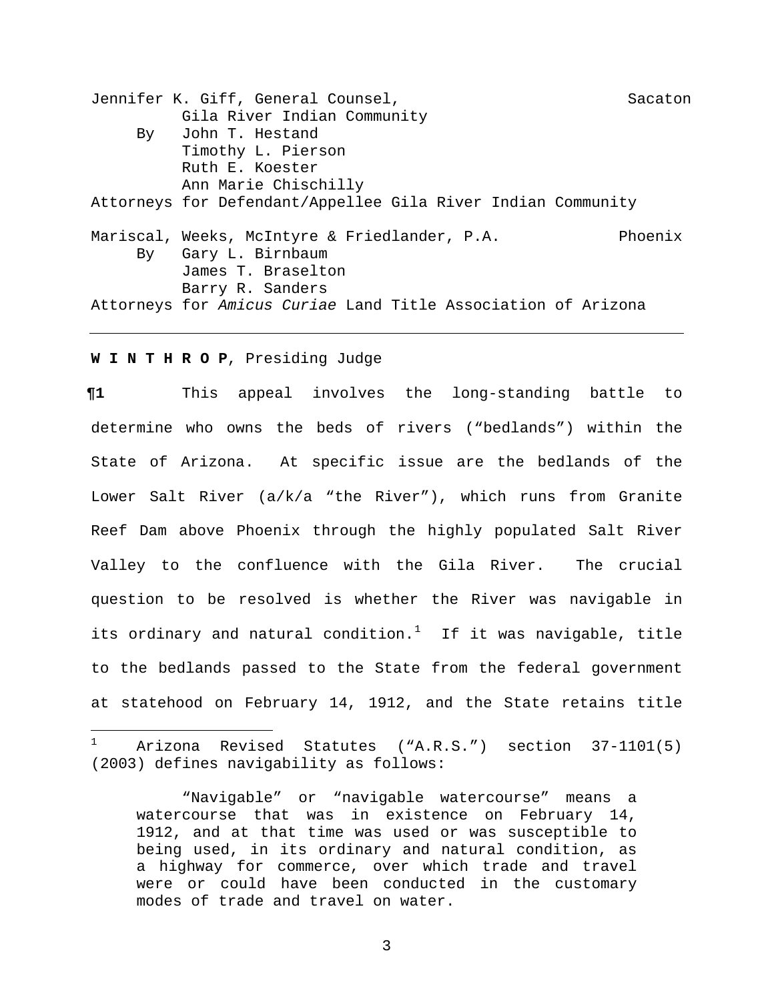Jennifer K. Giff, General Counsel, Sacaton Sacaton Gila River Indian Community By John T. Hestand Timothy L. Pierson Ruth E. Koester Ann Marie Chischilly Attorneys for Defendant/Appellee Gila River Indian Community Mariscal, Weeks, McIntyre & Friedlander, P.A. Phoenix By Gary L. Birnbaum James T. Braselton Barry R. Sanders Attorneys for *Amicus Curiae* Land Title Association of Arizona

## **W I N T H R O P**, Presiding Judge

**¶1** This appeal involves the long-standing battle to determine who owns the beds of rivers ("bedlands") within the State of Arizona. At specific issue are the bedlands of the Lower Salt River (a/k/a "the River"), which runs from Granite Reef Dam above Phoenix through the highly populated Salt River Valley to the confluence with the Gila River. The crucial question to be resolved is whether the River was navigable in its ordinary and natural condition. $1$  If it was navigable, title to the bedlands passed to the State from the federal government at statehood on February 14, 1912, and the State retains title

<span id="page-2-0"></span> $\mathbf{1}$ Arizona Revised Statutes ("A.R.S.") section 37-1101(5) (2003) defines navigability as follows:

<sup>&</sup>quot;Navigable" or "navigable watercourse" means a watercourse that was in existence on February 14, 1912, and at that time was used or was susceptible to being used, in its ordinary and natural condition, as a highway for commerce, over which trade and travel were or could have been conducted in the customary modes of trade and travel on water.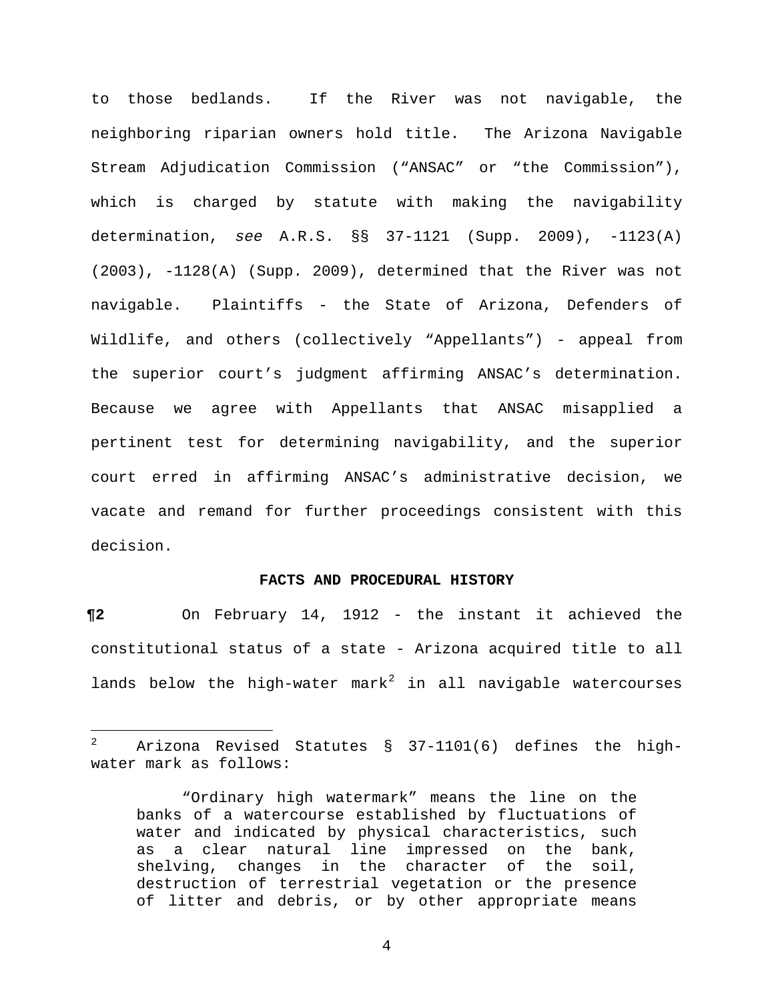to those bedlands. If the River was not navigable, the neighboring riparian owners hold title. The Arizona Navigable Stream Adjudication Commission ("ANSAC" or "the Commission"), which is charged by statute with making the navigability determination, *see* A.R.S. §§ 37-1121 (Supp. 2009), -1123(A) (2003), -1128(A) (Supp. 2009), determined that the River was not navigable. Plaintiffs - the State of Arizona, Defenders of Wildlife, and others (collectively "Appellants") - appeal from the superior court's judgment affirming ANSAC's determination. Because we agree with Appellants that ANSAC misapplied a pertinent test for determining navigability, and the superior court erred in affirming ANSAC's administrative decision, we vacate and remand for further proceedings consistent with this decision.

### **FACTS AND PROCEDURAL HISTORY**

**¶2** On February 14, 1912 - the instant it achieved the constitutional status of a state - Arizona acquired title to all lands below the high-water mark $^2$  $^2$  in all navigable watercourses

<span id="page-3-0"></span> $\overline{a}$ <sup>2</sup> Arizona Revised Statutes § 37-1101(6) defines the highwater mark as follows:

<sup>&</sup>quot;Ordinary high watermark" means the line on the banks of a watercourse established by fluctuations of water and indicated by physical characteristics, such as a clear natural line impressed on the bank,<br>shelving, changes in the character of the soil, shelving, changes in the character of destruction of terrestrial vegetation or the presence of litter and debris, or by other appropriate means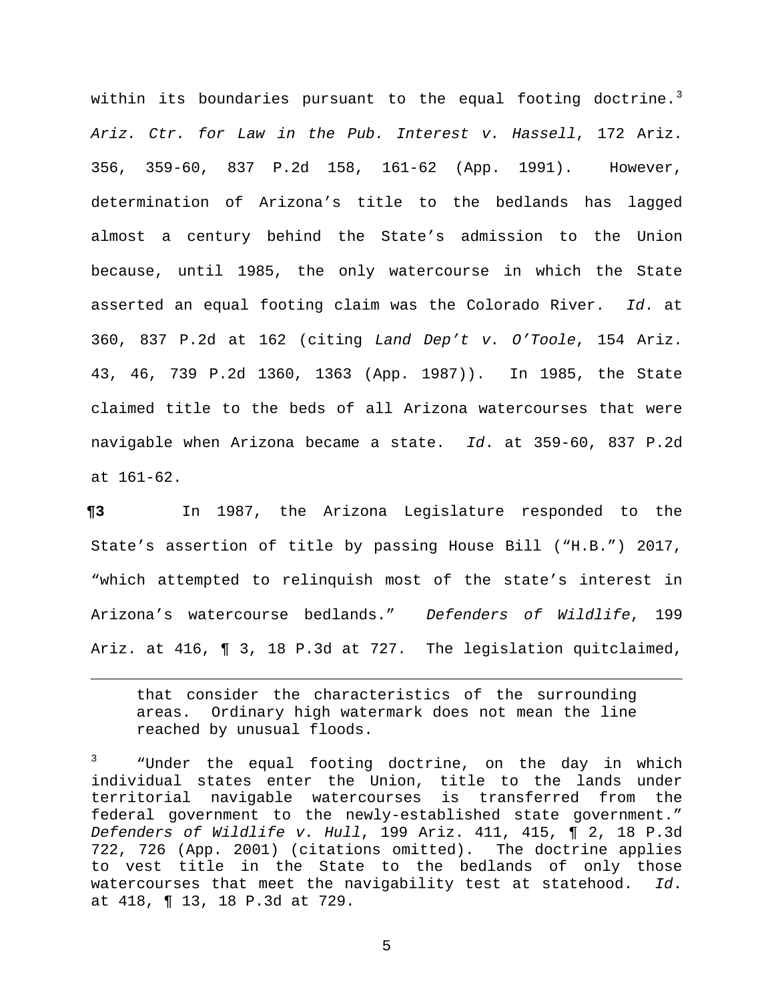within its boundaries pursuant to the equal footing doctrine. $^3$  $^3$ *Ariz. Ctr. for Law in the Pub. Interest v. Hassell*, 172 Ariz. 356, 359-60, 837 P.2d 158, 161-62 (App. 1991). However, determination of Arizona's title to the bedlands has lagged almost a century behind the State's admission to the Union because, until 1985, the only watercourse in which the State asserted an equal footing claim was the Colorado River. *Id*. at 360, 837 P.2d at 162 (citing *Land Dep't v. O'Toole*, 154 Ariz. 43, 46, 739 P.2d 1360, 1363 (App. 1987)). In 1985, the State claimed title to the beds of all Arizona watercourses that were navigable when Arizona became a state. *Id*. at 359-60, 837 P.2d at 161-62.

**¶3** In 1987, the Arizona Legislature responded to the State's assertion of title by passing House Bill ("H.B.") 2017, "which attempted to relinquish most of the state's interest in Arizona's watercourse bedlands." *Defenders of Wildlife*, 199 Ariz. at 416, ¶ 3, 18 P.3d at 727. The legislation quitclaimed,

that consider the characteristics of the surrounding areas. Ordinary high watermark does not mean the line reached by unusual floods.

Ĩ.

<span id="page-4-0"></span><sup>3</sup> "Under the equal footing doctrine, on the day in which individual states enter the Union, title to the lands under territorial navigable watercourses is transferred from the federal government to the newly-established state government." *Defenders of Wildlife v. Hull*, 199 Ariz. 411, 415, ¶ 2, 18 P.3d 722, 726 (App. 2001) (citations omitted). The doctrine applies to vest title in the State to the bedlands of only those watercourses that meet the navigability test at statehood. *Id*. at 418, ¶ 13, 18 P.3d at 729.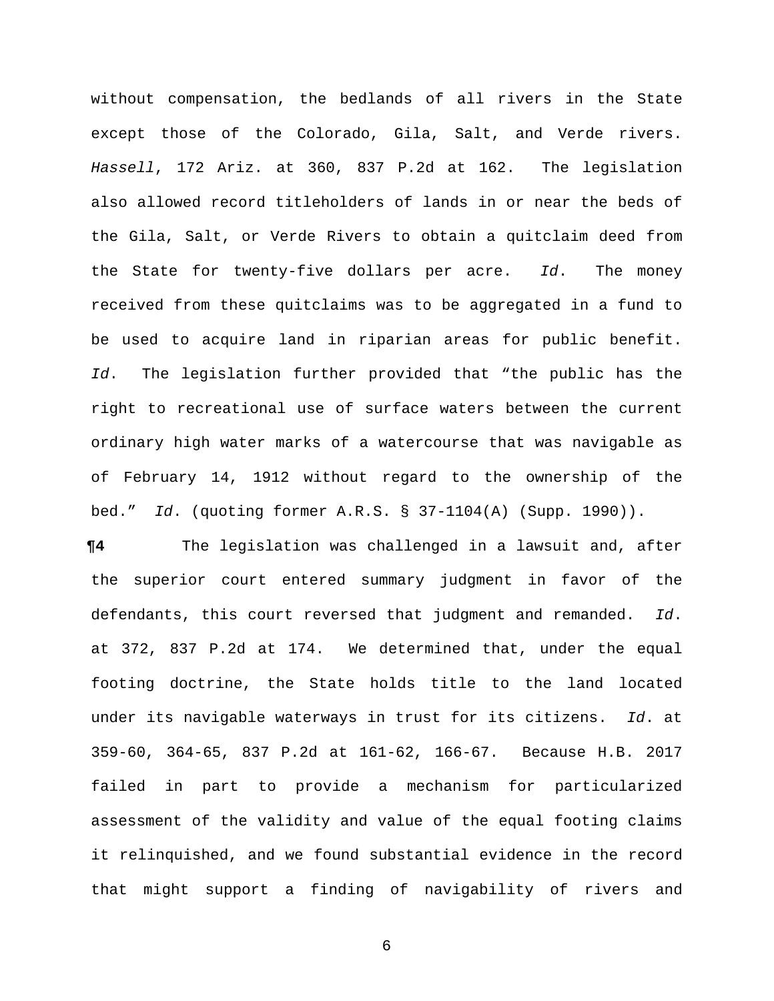without compensation, the bedlands of all rivers in the State except those of the Colorado, Gila, Salt, and Verde rivers. *Hassell*, 172 Ariz. at 360, 837 P.2d at 162. The legislation also allowed record titleholders of lands in or near the beds of the Gila, Salt, or Verde Rivers to obtain a quitclaim deed from the State for twenty-five dollars per acre. *Id*. The money received from these quitclaims was to be aggregated in a fund to be used to acquire land in riparian areas for public benefit. *Id*. The legislation further provided that "the public has the right to recreational use of surface waters between the current ordinary high water marks of a watercourse that was navigable as of February 14, 1912 without regard to the ownership of the bed." *Id*. (quoting former A.R.S. § 37-1104(A) (Supp. 1990)).

**¶4** The legislation was challenged in a lawsuit and, after the superior court entered summary judgment in favor of the defendants, this court reversed that judgment and remanded. *Id*. at 372, 837 P.2d at 174. We determined that, under the equal footing doctrine, the State holds title to the land located under its navigable waterways in trust for its citizens. *Id*. at 359-60, 364-65, 837 P.2d at 161-62, 166-67. Because H.B. 2017 failed in part to provide a mechanism for particularized assessment of the validity and value of the equal footing claims it relinquished, and we found substantial evidence in the record that might support a finding of navigability of rivers and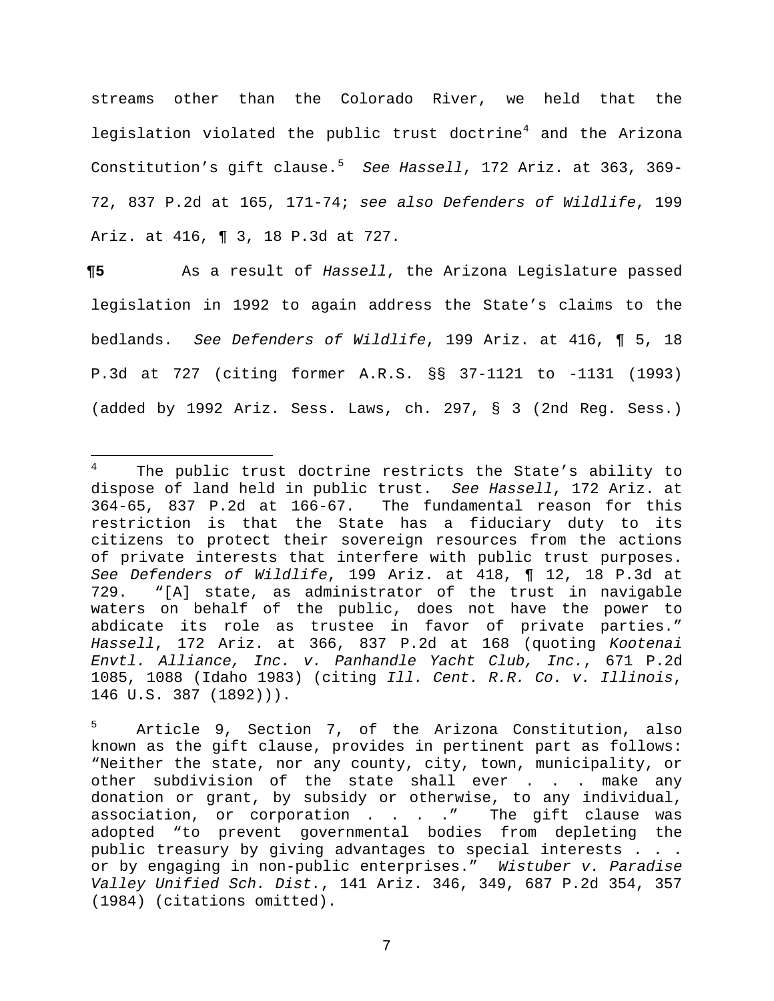streams other than the Colorado River, we held that the legislation violated the public trust doctrine<sup>[4](#page-6-0)</sup> and the Arizona Constitution's gift clause.[5](#page-6-1) *See Hassell*, 172 Ariz. at 363, 369- 72, 837 P.2d at 165, 171-74; *see also Defenders of Wildlife*, 199 Ariz. at 416, ¶ 3, 18 P.3d at 727.

**¶5** As a result of *Hassell*, the Arizona Legislature passed legislation in 1992 to again address the State's claims to the bedlands. *See Defenders of Wildlife*, 199 Ariz. at 416, ¶ 5, 18 P.3d at 727 (citing former A.R.S. §§ 37-1121 to -1131 (1993) (added by 1992 Ariz. Sess. Laws, ch. 297, § 3 (2nd Reg. Sess.)

<span id="page-6-0"></span> $4\overline{ }$ The public trust doctrine restricts the State's ability to dispose of land held in public trust. *See Hassell*, 172 Ariz. at The fundamental reason for this restriction is that the State has a fiduciary duty to its citizens to protect their sovereign resources from the actions of private interests that interfere with public trust purposes. *See Defenders of Wildlife*, 199 Ariz. at 418, ¶ 12, 18 P.3d at "[A] state, as administrator of the trust in navigable waters on behalf of the public, does not have the power to abdicate its role as trustee in favor of private parties." *Hassell*, 172 Ariz. at 366, 837 P.2d at 168 (quoting *Kootenai Envtl. Alliance, Inc. v. Panhandle Yacht Club, Inc.*, 671 P.2d 1085, 1088 (Idaho 1983) (citing *Ill. Cent. R.R. Co. v. Illinois*, 146 U.S. 387 (1892))).

<span id="page-6-1"></span>Article 9, Section 7, of the Arizona Constitution, also known as the gift clause, provides in pertinent part as follows: "Neither the state, nor any county, city, town, municipality, or other subdivision of the state shall ever . . . make any donation or grant, by subsidy or otherwise, to any individual, association, or corporation . . . . " The gift clause was adopted "to prevent governmental bodies from depleting the public treasury by giving advantages to special interests . . . or by engaging in non-public enterprises." *Wistuber v. Paradise Valley Unified Sch. Dist.*, 141 Ariz. 346, 349, 687 P.2d 354, 357 (1984) (citations omitted).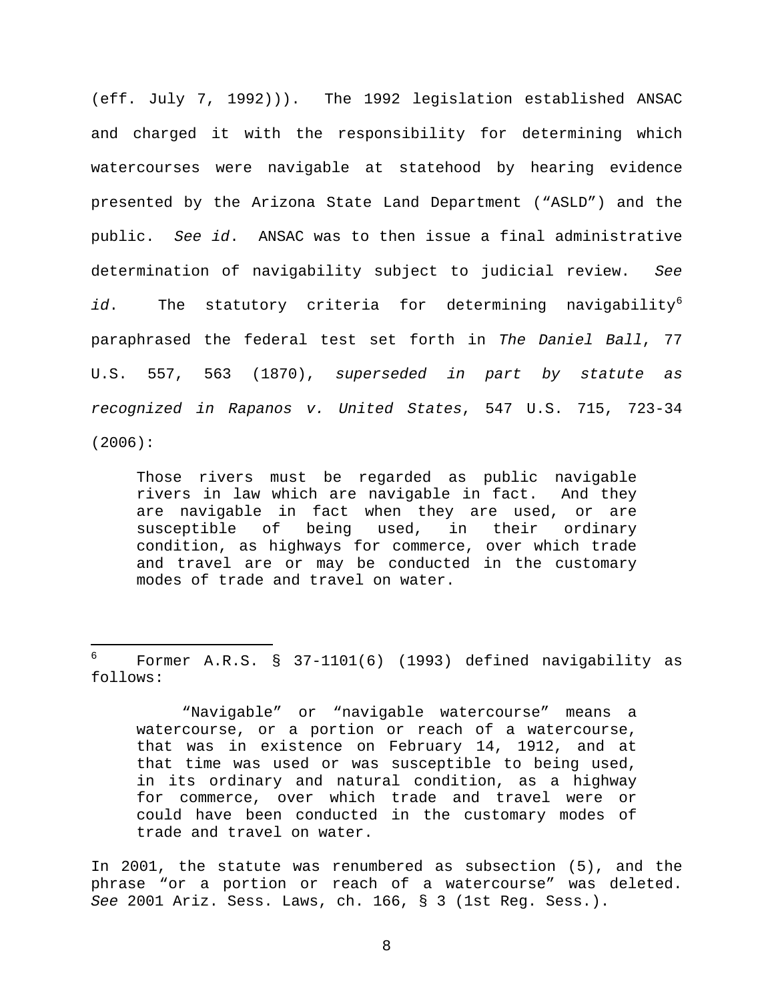(eff. July 7, 1992))). The 1992 legislation established ANSAC and charged it with the responsibility for determining which watercourses were navigable at statehood by hearing evidence presented by the Arizona State Land Department ("ASLD") and the public. *See id*. ANSAC was to then issue a final administrative determination of navigability subject to judicial review. *See* id. The statutory criteria for determining navigability<sup>[6](#page-7-0)</sup> paraphrased the federal test set forth in *The Daniel Ball*, 77 U.S. 557, 563 (1870), *superseded in part by statute as recognized in Rapanos v. United States*, 547 U.S. 715, 723-34 (2006):

Those rivers must be regarded as public navigable rivers in law which are navigable in fact. And they are navigable in fact when they are used, or are susceptible of being used, in their ordinary condition, as highways for commerce, over which trade and travel are or may be conducted in the customary modes of trade and travel on water.

 $\frac{1}{2}$ 

"Navigable" or "navigable watercourse" means a watercourse, or a portion or reach of a watercourse, that was in existence on February 14, 1912, and at that time was used or was susceptible to being used, in its ordinary and natural condition, as a highway for commerce, over which trade and travel were or could have been conducted in the customary modes of trade and travel on water.

In 2001, the statute was renumbered as subsection (5), and the phrase "or a portion or reach of a watercourse" was deleted. *See* 2001 Ariz. Sess. Laws, ch. 166, § 3 (1st Reg. Sess.).

<span id="page-7-0"></span>Former A.R.S. § 37-1101(6) (1993) defined navigability as follows: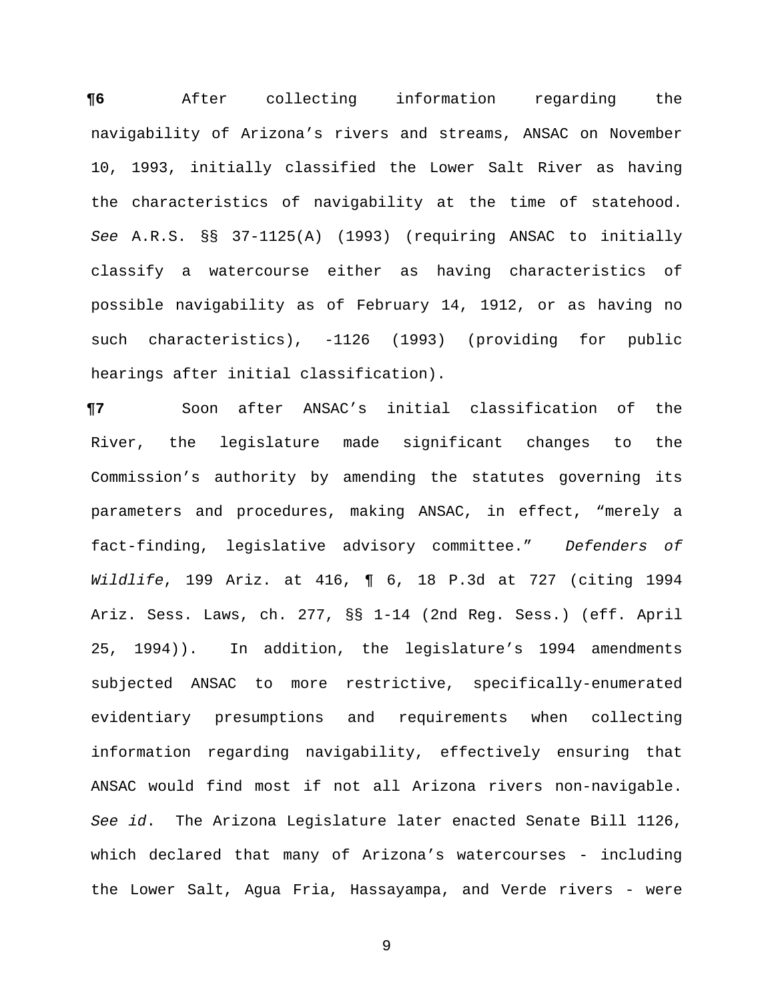**¶6** After collecting information regarding the navigability of Arizona's rivers and streams, ANSAC on November 10, 1993, initially classified the Lower Salt River as having the characteristics of navigability at the time of statehood. *See* A.R.S. §§ 37-1125(A) (1993) (requiring ANSAC to initially classify a watercourse either as having characteristics of possible navigability as of February 14, 1912, or as having no such characteristics), -1126 (1993) (providing for public hearings after initial classification).

**¶7** Soon after ANSAC's initial classification of the River, the legislature made significant changes to the Commission's authority by amending the statutes governing its parameters and procedures, making ANSAC, in effect, "merely a fact-finding, legislative advisory committee." *Defenders of Wildlife*, 199 Ariz. at 416, ¶ 6, 18 P.3d at 727 (citing 1994 Ariz. Sess. Laws, ch. 277, §§ 1-14 (2nd Reg. Sess.) (eff. April 25, 1994)). In addition, the legislature's 1994 amendments subjected ANSAC to more restrictive, specifically-enumerated evidentiary presumptions and requirements when collecting information regarding navigability, effectively ensuring that ANSAC would find most if not all Arizona rivers non-navigable. *See id*. The Arizona Legislature later enacted Senate Bill 1126, which declared that many of Arizona's watercourses - including the Lower Salt, Agua Fria, Hassayampa, and Verde rivers - were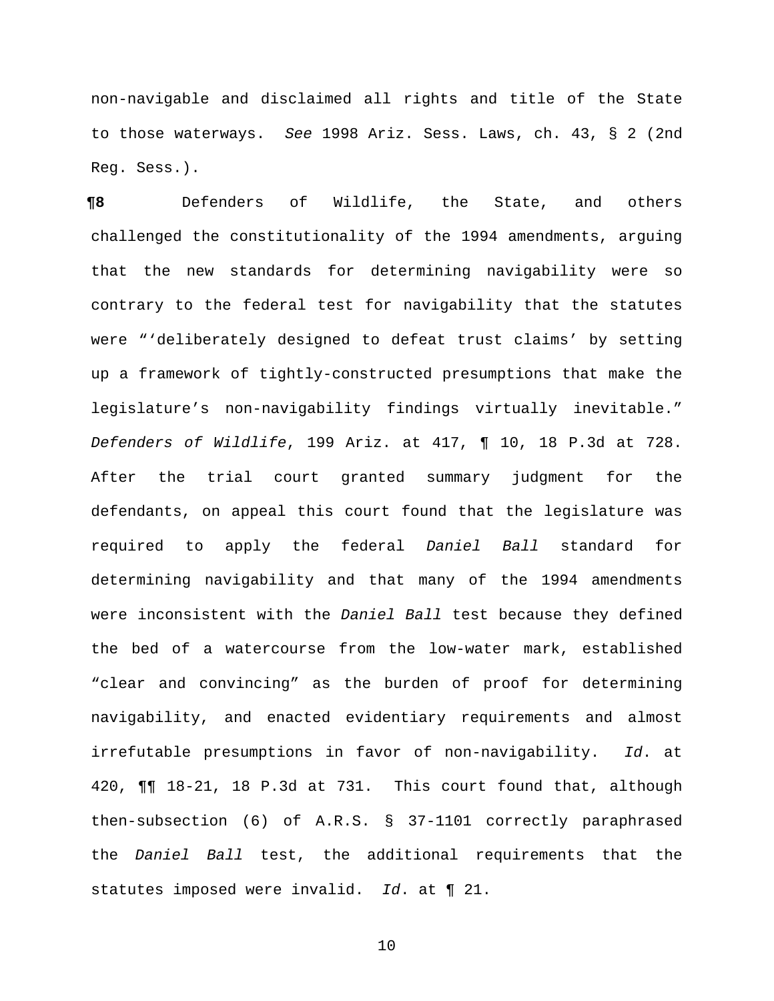non-navigable and disclaimed all rights and title of the State to those waterways. *See* 1998 Ariz. Sess. Laws, ch. 43, § 2 (2nd Reg. Sess.).

**¶8** Defenders of Wildlife, the State, and others challenged the constitutionality of the 1994 amendments, arguing that the new standards for determining navigability were so contrary to the federal test for navigability that the statutes were "'deliberately designed to defeat trust claims' by setting up a framework of tightly-constructed presumptions that make the legislature's non-navigability findings virtually inevitable." *Defenders of Wildlife*, 199 Ariz. at 417, ¶ 10, 18 P.3d at 728. After the trial court granted summary judgment for the defendants, on appeal this court found that the legislature was required to apply the federal *Daniel Ball* standard for determining navigability and that many of the 1994 amendments were inconsistent with the *Daniel Ball* test because they defined the bed of a watercourse from the low-water mark, established "clear and convincing" as the burden of proof for determining navigability, and enacted evidentiary requirements and almost irrefutable presumptions in favor of non-navigability. *Id*. at 420, ¶¶ 18-21, 18 P.3d at 731. This court found that, although then-subsection (6) of A.R.S. § 37-1101 correctly paraphrased the *Daniel Ball* test, the additional requirements that the statutes imposed were invalid. *Id*. at ¶ 21.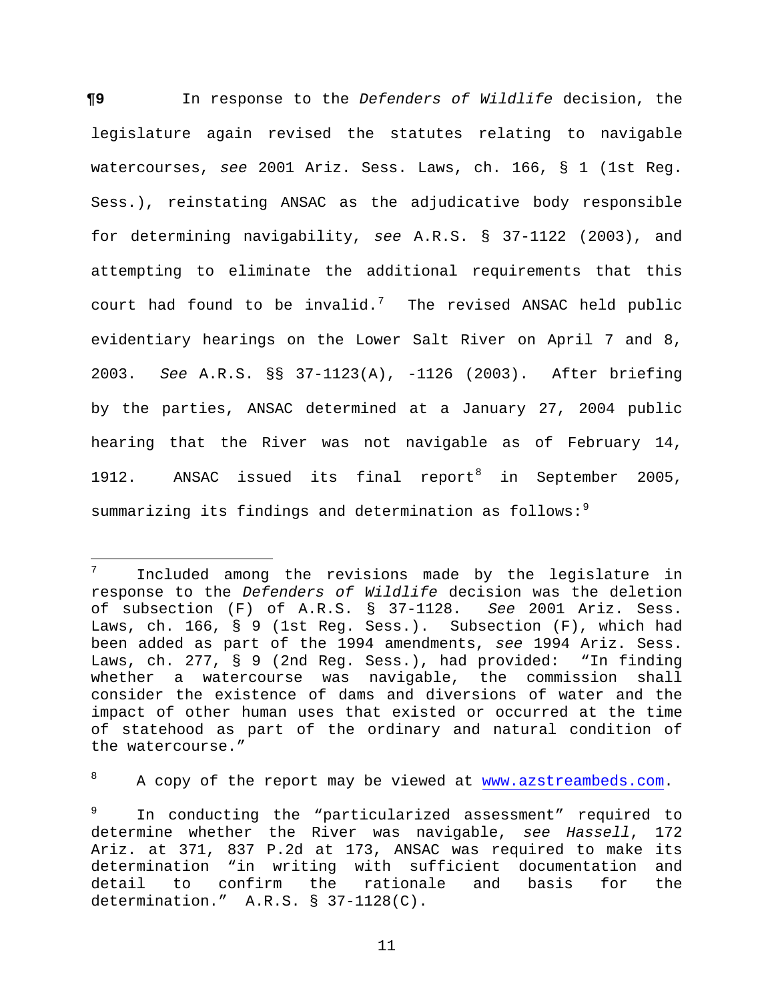**¶9** In response to the *Defenders of Wildlife* decision, the legislature again revised the statutes relating to navigable watercourses, *see* 2001 Ariz. Sess. Laws, ch. 166, § 1 (1st Reg. Sess.), reinstating ANSAC as the adjudicative body responsible for determining navigability, *see* A.R.S. § 37-1122 (2003), and attempting to eliminate the additional requirements that this court had found to be invalid.<sup>[7](#page-10-0)</sup> The revised ANSAC held public evidentiary hearings on the Lower Salt River on April 7 and 8, 2003. *See* A.R.S. §§ 37-1123(A), -1126 (2003). After briefing by the parties, ANSAC determined at a January 27, 2004 public hearing that the River was not navigable as of February 14, 1912. ANSAC issued its final report<sup>[8](#page-10-1)</sup> in September 2005, summarizing its findings and determination as follows:<sup>[9](#page-10-2)</sup>

<span id="page-10-1"></span><sup>8</sup> A copy of the report may be viewed at [www.azstreambeds.com.](http://www.azstreambeds.com/)

<span id="page-10-0"></span> $7<sup>7</sup>$ <sup>7</sup> Included among the revisions made by the legislature in response to the *Defenders of Wildlife* decision was the deletion of subsection (F) of A.R.S. § 37-1128. *See* 2001 Ariz. Sess. Laws, ch. 166, § 9 (1st Reg. Sess.). Subsection (F), which had been added as part of the 1994 amendments, *see* 1994 Ariz. Sess. Laws, ch. 277, § 9 (2nd Reg. Sess.), had provided: "In finding whether a watercourse was navigable, the commission shall consider the existence of dams and diversions of water and the impact of other human uses that existed or occurred at the time of statehood as part of the ordinary and natural condition of the watercourse."

<span id="page-10-2"></span><sup>9</sup> In conducting the "particularized assessment" required to determine whether the River was navigable, *see Hassell*, 172 Ariz. at 371, 837 P.2d at 173, ANSAC was required to make its determination "in writing with sufficient documentation and<br>detail to confirm the rationale and basis for the detail to confirm the rationale and determination." A.R.S. § 37-1128(C).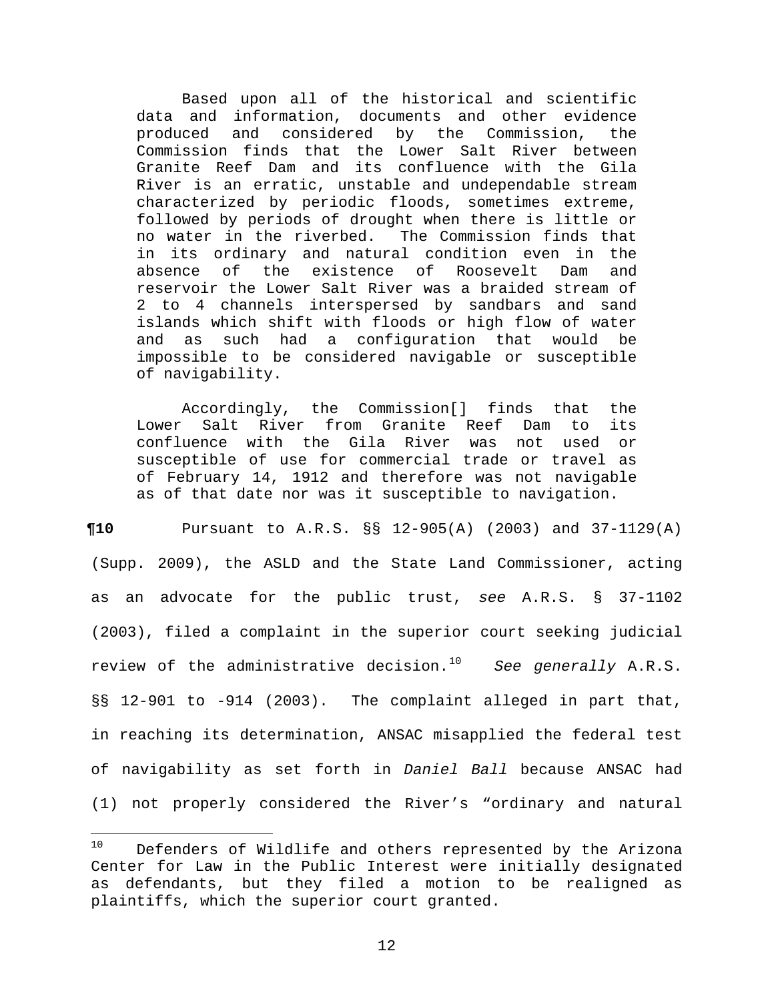Based upon all of the historical and scientific data and information, documents and other evidence<br>produced and considered by the Commission, the produced and considered Commission finds that the Lower Salt River between Granite Reef Dam and its confluence with the Gila River is an erratic, unstable and undependable stream characterized by periodic floods, sometimes extreme, followed by periods of drought when there is little or no water in the riverbed. The Commission finds that in its ordinary and natural condition even in the<br>absence of the existence of Roosevelt Dam and absence of the existence of Roosevelt reservoir the Lower Salt River was a braided stream of 2 to 4 channels interspersed by sandbars and sand islands which shift with floods or high flow of water and as such had a configuration that would be impossible to be considered navigable or susceptible of navigability.

Accordingly, the Commission[] finds that the<br>Salt River from Granite Reef Dam to its Lower Salt River from Granite Reef confluence with the Gila River was not used or susceptible of use for commercial trade or travel as of February 14, 1912 and therefore was not navigable as of that date nor was it susceptible to navigation.

**¶10** Pursuant to A.R.S. §§ 12-905(A) (2003) and 37-1129(A) (Supp. 2009), the ASLD and the State Land Commissioner, acting as an advocate for the public trust, *see* A.R.S. § 37-1102 (2003), filed a complaint in the superior court seeking judicial review of the administrative decision.[10](#page-11-0) *See generally* A.R.S. §§ 12-901 to -914 (2003). The complaint alleged in part that, in reaching its determination, ANSAC misapplied the federal test of navigability as set forth in *Daniel Ball* because ANSAC had (1) not properly considered the River's "ordinary and natural

<span id="page-11-0"></span> $10$ Defenders of Wildlife and others represented by the Arizona Center for Law in the Public Interest were initially designated as defendants, but they filed a motion to be realigned as plaintiffs, which the superior court granted.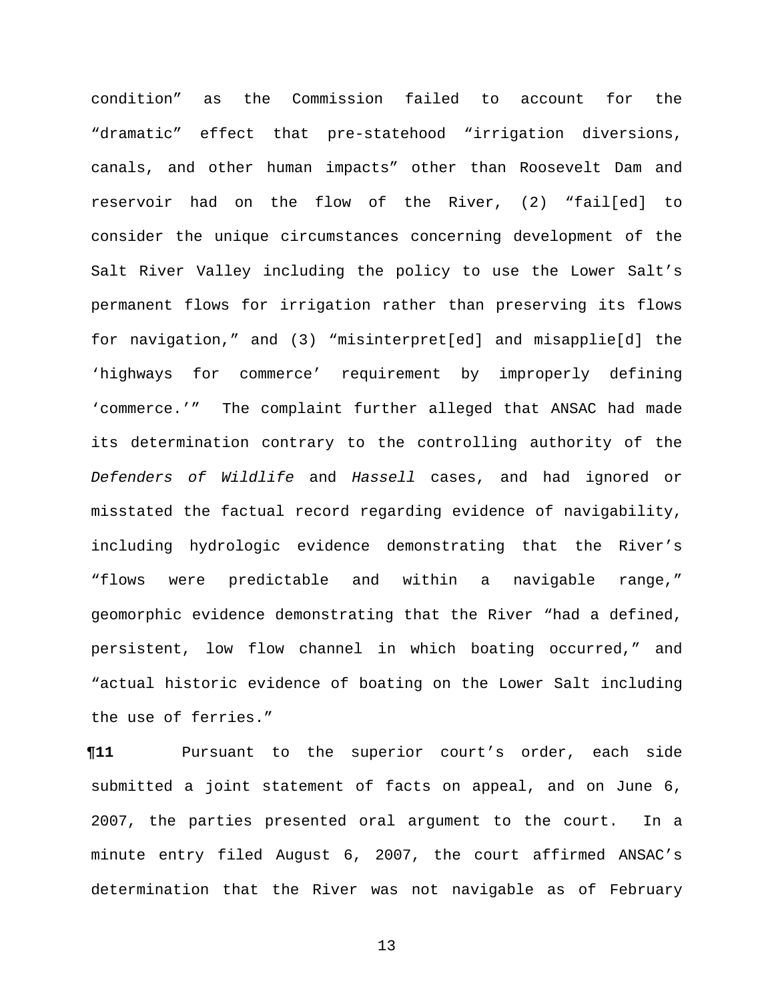condition" as the Commission failed to account for the "dramatic" effect that pre-statehood "irrigation diversions, canals, and other human impacts" other than Roosevelt Dam and reservoir had on the flow of the River, (2) "fail[ed] to consider the unique circumstances concerning development of the Salt River Valley including the policy to use the Lower Salt's permanent flows for irrigation rather than preserving its flows for navigation," and (3) "misinterpret[ed] and misapplie[d] the 'highways for commerce' requirement by improperly defining 'commerce.'" The complaint further alleged that ANSAC had made its determination contrary to the controlling authority of the *Defenders of Wildlife* and *Hassell* cases, and had ignored or misstated the factual record regarding evidence of navigability, including hydrologic evidence demonstrating that the River's "flows were predictable and within a navigable range," geomorphic evidence demonstrating that the River "had a defined, persistent, low flow channel in which boating occurred," and "actual historic evidence of boating on the Lower Salt including the use of ferries."

**¶11** Pursuant to the superior court's order, each side submitted a joint statement of facts on appeal, and on June 6, 2007, the parties presented oral argument to the court. In a minute entry filed August 6, 2007, the court affirmed ANSAC's determination that the River was not navigable as of February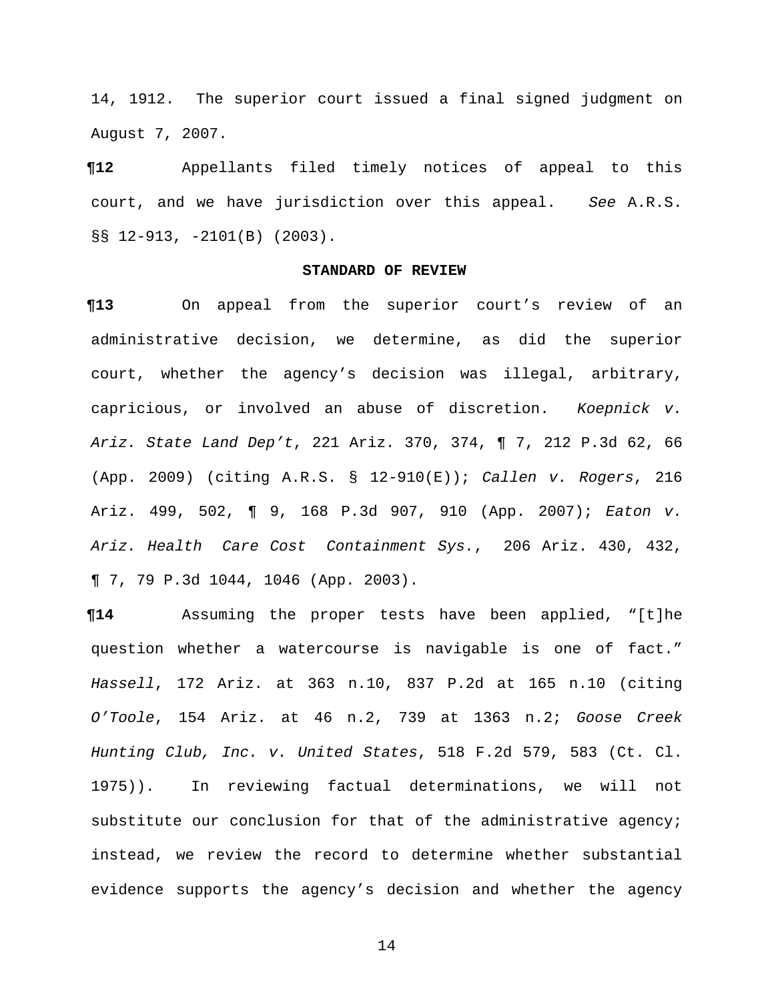14, 1912. The superior court issued a final signed judgment on August 7, 2007.

**¶12** Appellants filed timely notices of appeal to this court, and we have jurisdiction over this appeal. *See* A.R.S. §§ 12-913, -2101(B) (2003).

## **STANDARD OF REVIEW**

**¶13** On appeal from the superior court's review of an administrative decision, we determine, as did the superior court, whether the agency's decision was illegal, arbitrary, capricious, or involved an abuse of discretion. *Koepnick v. Ariz. State Land Dep't*, 221 Ariz. 370, 374, ¶ 7, 212 P.3d 62, 66 (App. 2009) (citing A.R.S. § 12-910(E)); *Callen v. Rogers*, 216 Ariz. 499, 502, ¶ 9, 168 P.3d 907, 910 (App. 2007); *Eaton v. Ariz. Health Care Cost Containment Sys.*, 206 Ariz. 430, 432, ¶ 7, 79 P.3d 1044, 1046 (App. 2003).

**¶14** Assuming the proper tests have been applied, "[t]he question whether a watercourse is navigable is one of fact." *Hassell*, 172 Ariz. at 363 n.10, 837 P.2d at 165 n.10 (citing *O'Toole*, 154 Ariz. at 46 n.2, 739 at 1363 n.2; *Goose Creek Hunting Club, Inc. v. United States*, 518 F.2d 579, 583 (Ct. Cl. 1975)). In reviewing factual determinations, we will not substitute our conclusion for that of the administrative agency; instead, we review the record to determine whether substantial evidence supports the agency's decision and whether the agency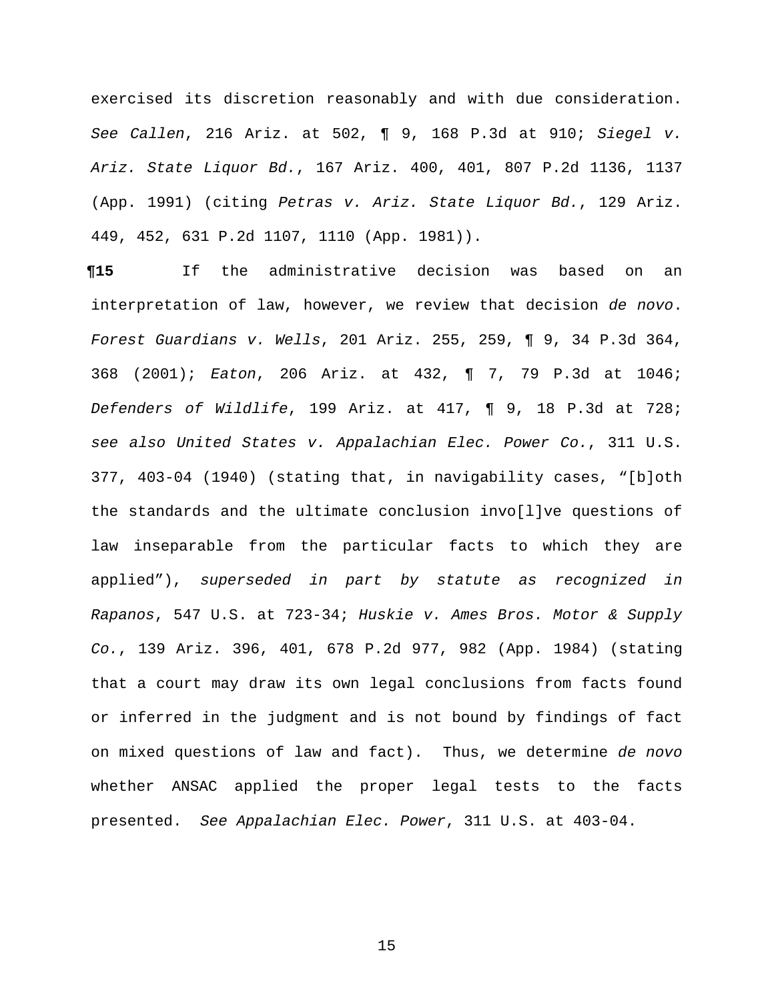exercised its discretion reasonably and with due consideration. *See Callen*, 216 Ariz. at 502, ¶ 9, 168 P.3d at 910; *Siegel v. Ariz. State Liquor Bd.*, 167 Ariz. 400, 401, 807 P.2d 1136, 1137 (App. 1991) (citing *Petras v. Ariz. State Liquor Bd.*, 129 Ariz. 449, 452, 631 P.2d 1107, 1110 (App. 1981)).

**¶15** If the administrative decision was based on an interpretation of law, however, we review that decision *de novo*. *Forest Guardians v. Wells*, 201 Ariz. 255, 259, ¶ 9, 34 P.3d 364, 368 (2001); *Eaton*, 206 Ariz. at 432, ¶ 7, 79 P.3d at 1046; *Defenders of Wildlife*, 199 Ariz. at 417, ¶ 9, 18 P.3d at 728; *see also United States v. Appalachian Elec. Power Co.*, 311 U.S. 377, 403-04 (1940) (stating that, in navigability cases, "[b]oth the standards and the ultimate conclusion invo[l]ve questions of law inseparable from the particular facts to which they are applied"), *superseded in part by statute as recognized in Rapanos*, 547 U.S. at 723-34; *Huskie v. Ames Bros. Motor & Supply Co.*, 139 Ariz. 396, 401, 678 P.2d 977, 982 (App. 1984) (stating that a court may draw its own legal conclusions from facts found or inferred in the judgment and is not bound by findings of fact on mixed questions of law and fact). Thus, we determine *de novo* whether ANSAC applied the proper legal tests to the facts presented. *See Appalachian Elec. Power*, 311 U.S. at 403-04.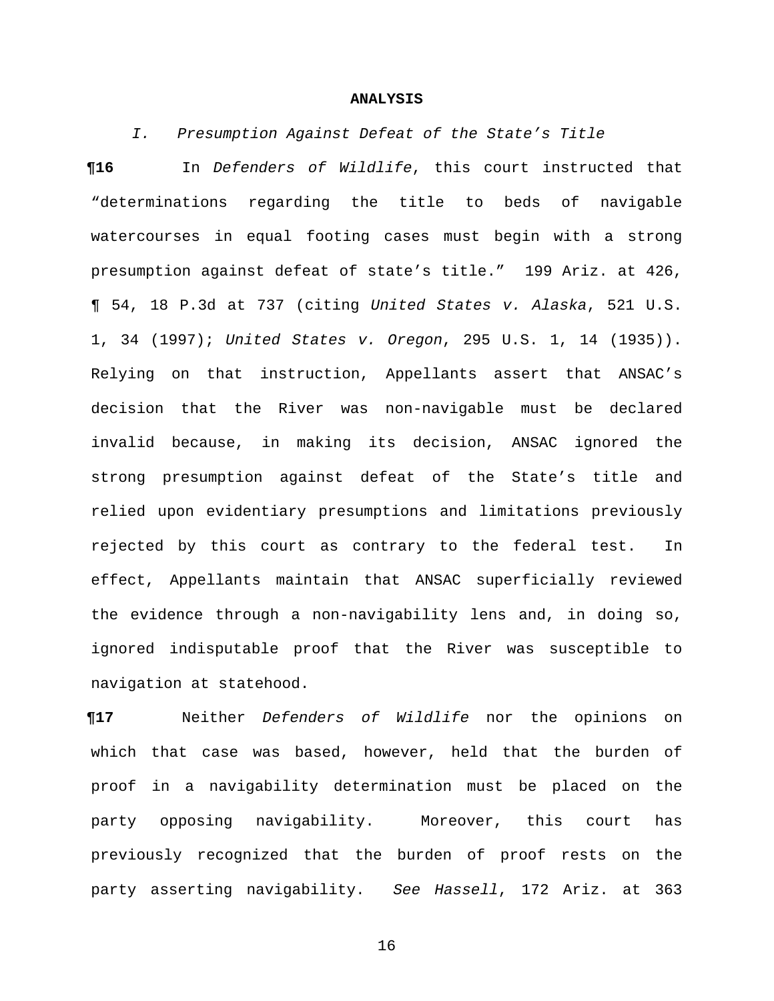#### **ANALYSIS**

*I. Presumption Against Defeat of the State's Title*

**¶16** In *Defenders of Wildlife*, this court instructed that "determinations regarding the title to beds of navigable watercourses in equal footing cases must begin with a strong presumption against defeat of state's title." 199 Ariz. at 426, ¶ 54, 18 P.3d at 737 (citing *United States v. Alaska*, 521 U.S. 1, 34 (1997); *United States v. Oregon*, 295 U.S. 1, 14 (1935)). Relying on that instruction, Appellants assert that ANSAC's decision that the River was non-navigable must be declared invalid because, in making its decision, ANSAC ignored the strong presumption against defeat of the State's title and relied upon evidentiary presumptions and limitations previously rejected by this court as contrary to the federal test. In effect, Appellants maintain that ANSAC superficially reviewed the evidence through a non-navigability lens and, in doing so, ignored indisputable proof that the River was susceptible to navigation at statehood.

**¶17** Neither *Defenders of Wildlife* nor the opinions on which that case was based, however, held that the burden of proof in a navigability determination must be placed on the party opposing navigability. Moreover, this court has previously recognized that the burden of proof rests on the party asserting navigability. *See Hassell*, 172 Ariz. at 363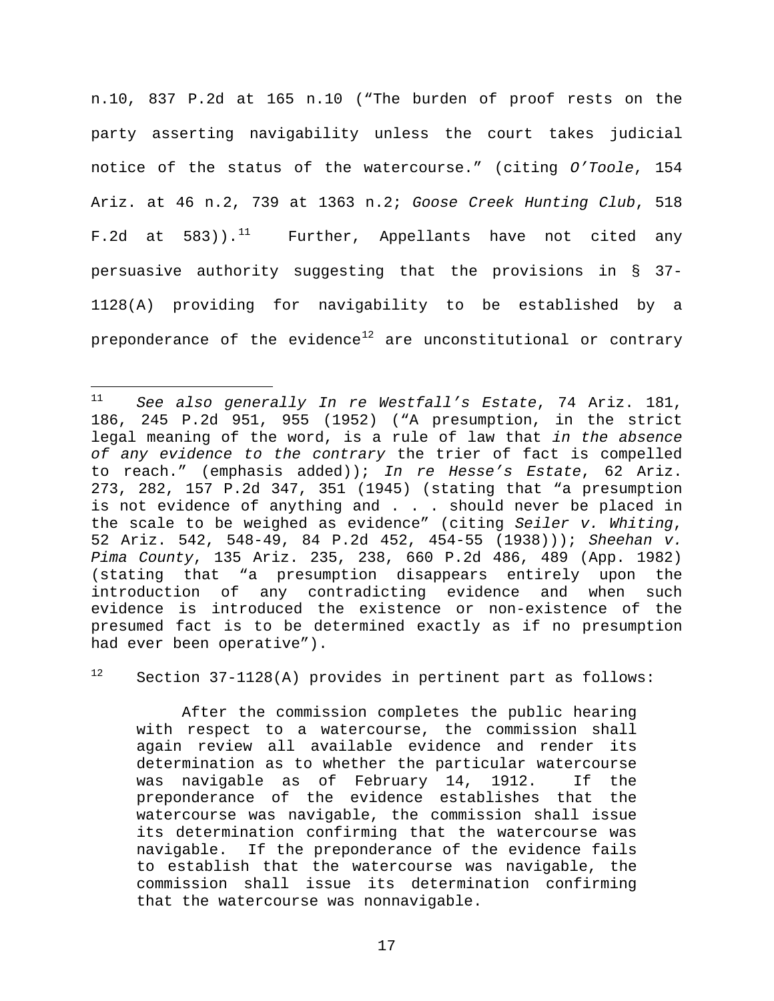n.10, 837 P.2d at 165 n.10 ("The burden of proof rests on the party asserting navigability unless the court takes judicial notice of the status of the watercourse." (citing *O'Toole*, 154 Ariz. at 46 n.2, 739 at 1363 n.2; *Goose Creek Hunting Club*, 518 F.2d at  $583)$ ).<sup>[11](#page-16-0)</sup> Further, Appellants have not cited any persuasive authority suggesting that the provisions in § 37- 1128(A) providing for navigability to be established by a preponderance of the evidence $^{\mathrm{12}}$  $^{\mathrm{12}}$  $^{\mathrm{12}}$  are unconstitutional or contrary

<span id="page-16-1"></span> $12$  Section 37-1128(A) provides in pertinent part as follows:

After the commission completes the public hearing with respect to a watercourse, the commission shall again review all available evidence and render its determination as to whether the particular watercourse was navigable as of February 14, 1912. If the preponderance of the evidence establishes that the watercourse was navigable, the commission shall issue its determination confirming that the watercourse was navigable. If the preponderance of the evidence fails to establish that the watercourse was navigable, the commission shall issue its determination confirming that the watercourse was nonnavigable.

<span id="page-16-0"></span> $11$ <sup>11</sup> *See also generally In re Westfall's Estate*, 74 Ariz. 181, 186, 245 P.2d 951, 955 (1952) ("A presumption, in the strict legal meaning of the word, is a rule of law that *in the absence of any evidence to the contrary* the trier of fact is compelled to reach." (emphasis added)); *In re Hesse's Estate*, 62 Ariz. 273, 282, 157 P.2d 347, 351 (1945) (stating that "a presumption is not evidence of anything and . . . should never be placed in the scale to be weighed as evidence" (citing *Seiler v. Whiting*, 52 Ariz. 542, 548-49, 84 P.2d 452, 454-55 (1938))); *Sheehan v. Pima County*, 135 Ariz. 235, 238, 660 P.2d 486, 489 (App. 1982) (stating that "a presumption disappears entirely upon the introduction of any contradicting evidence and when such evidence is introduced the existence or non-existence of the presumed fact is to be determined exactly as if no presumption had ever been operative").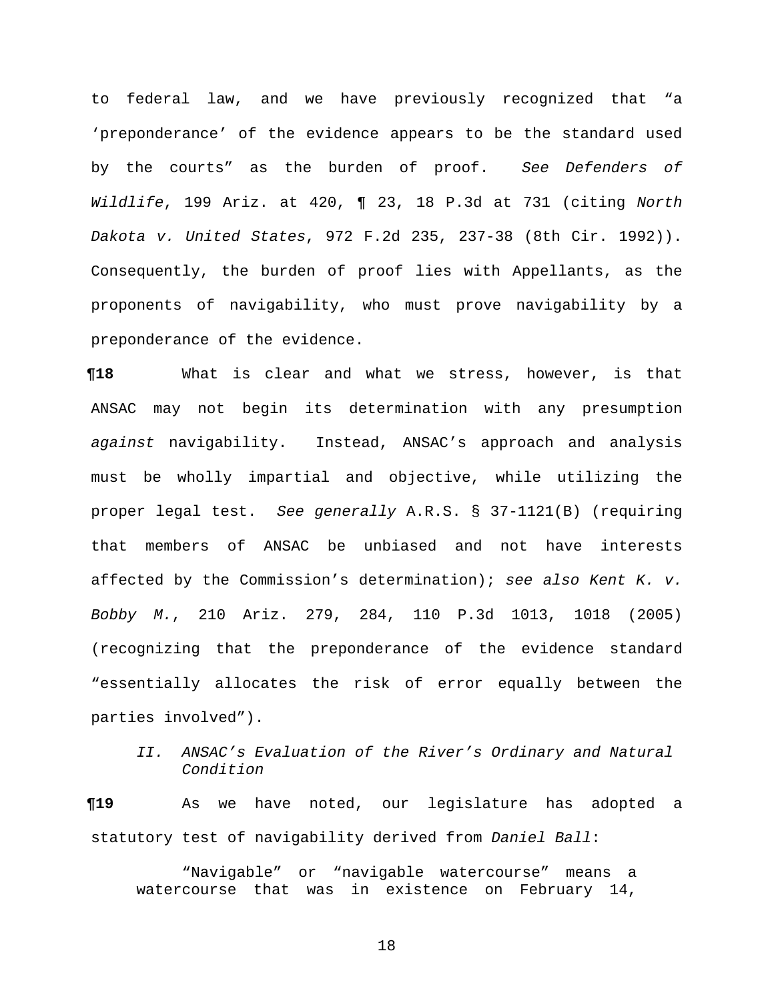to federal law, and we have previously recognized that "a 'preponderance' of the evidence appears to be the standard used by the courts" as the burden of proof. *See Defenders of Wildlife*, 199 Ariz. at 420, ¶ 23, 18 P.3d at 731 (citing *North Dakota v. United States*, 972 F.2d 235, 237-38 (8th Cir. 1992)). Consequently, the burden of proof lies with Appellants, as the proponents of navigability, who must prove navigability by a preponderance of the evidence.

**¶18** What is clear and what we stress, however, is that ANSAC may not begin its determination with any presumption *against* navigability. Instead, ANSAC's approach and analysis must be wholly impartial and objective, while utilizing the proper legal test. *See generally* A.R.S. § 37-1121(B) (requiring that members of ANSAC be unbiased and not have interests affected by the Commission's determination); *see also Kent K. v. Bobby M.*, 210 Ariz. 279, 284, 110 P.3d 1013, 1018 (2005) (recognizing that the preponderance of the evidence standard "essentially allocates the risk of error equally between the parties involved").

 *II. ANSAC's Evaluation of the River's Ordinary and Natural Condition*

**¶19** As we have noted, our legislature has adopted a statutory test of navigability derived from *Daniel Ball*:

"Navigable" or "navigable watercourse" means a watercourse that was in existence on February 14,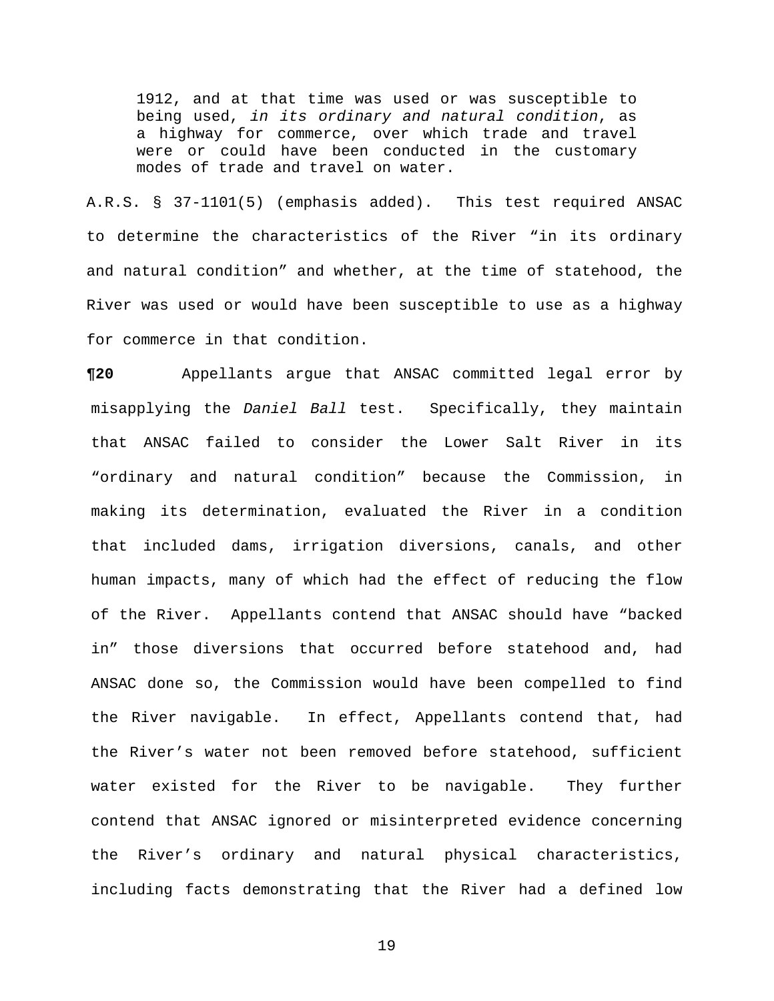1912, and at that time was used or was susceptible to being used, *in its ordinary and natural condition*, as a highway for commerce, over which trade and travel were or could have been conducted in the customary modes of trade and travel on water.

A.R.S. § 37-1101(5) (emphasis added). This test required ANSAC to determine the characteristics of the River "in its ordinary and natural condition" and whether, at the time of statehood, the River was used or would have been susceptible to use as a highway for commerce in that condition.

**¶20** Appellants argue that ANSAC committed legal error by misapplying the *Daniel Ball* test. Specifically, they maintain that ANSAC failed to consider the Lower Salt River in its "ordinary and natural condition" because the Commission, in making its determination, evaluated the River in a condition that included dams, irrigation diversions, canals, and other human impacts, many of which had the effect of reducing the flow of the River. Appellants contend that ANSAC should have "backed in" those diversions that occurred before statehood and, had ANSAC done so, the Commission would have been compelled to find the River navigable. In effect, Appellants contend that, had the River's water not been removed before statehood, sufficient water existed for the River to be navigable. They further contend that ANSAC ignored or misinterpreted evidence concerning the River's ordinary and natural physical characteristics, including facts demonstrating that the River had a defined low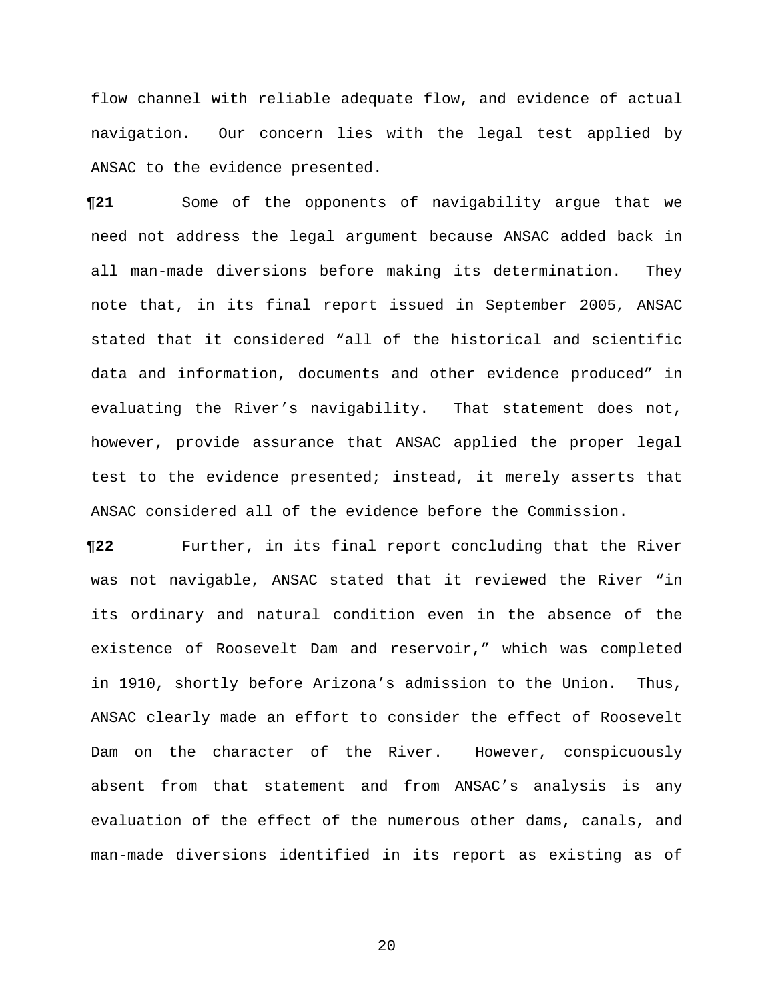flow channel with reliable adequate flow, and evidence of actual navigation. Our concern lies with the legal test applied by ANSAC to the evidence presented.

**¶21** Some of the opponents of navigability argue that we need not address the legal argument because ANSAC added back in all man-made diversions before making its determination. They note that, in its final report issued in September 2005, ANSAC stated that it considered "all of the historical and scientific data and information, documents and other evidence produced" in evaluating the River's navigability. That statement does not, however, provide assurance that ANSAC applied the proper legal test to the evidence presented; instead, it merely asserts that ANSAC considered all of the evidence before the Commission.

**¶22** Further, in its final report concluding that the River was not navigable, ANSAC stated that it reviewed the River "in its ordinary and natural condition even in the absence of the existence of Roosevelt Dam and reservoir," which was completed in 1910, shortly before Arizona's admission to the Union. Thus, ANSAC clearly made an effort to consider the effect of Roosevelt Dam on the character of the River. However, conspicuously absent from that statement and from ANSAC's analysis is any evaluation of the effect of the numerous other dams, canals, and man-made diversions identified in its report as existing as of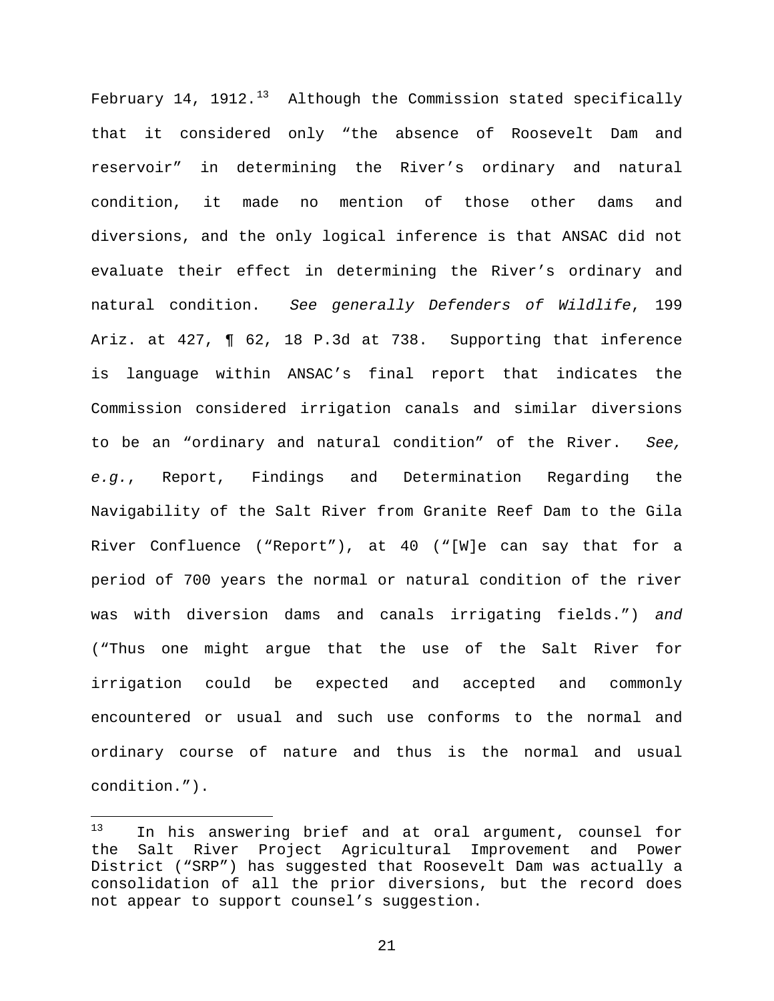February 14, 1912. $^{13}$  $^{13}$  $^{13}$  Although the Commission stated specifically that it considered only "the absence of Roosevelt Dam and reservoir" in determining the River's ordinary and natural condition, it made no mention of those other dams and diversions, and the only logical inference is that ANSAC did not evaluate their effect in determining the River's ordinary and natural condition. *See generally Defenders of Wildlife*, 199 Ariz. at 427, ¶ 62, 18 P.3d at 738. Supporting that inference is language within ANSAC's final report that indicates the Commission considered irrigation canals and similar diversions to be an "ordinary and natural condition" of the River. *See, e.g.*, Report, Findings and Determination Regarding the Navigability of the Salt River from Granite Reef Dam to the Gila River Confluence ("Report"), at 40 ("[W]e can say that for a period of 700 years the normal or natural condition of the river was with diversion dams and canals irrigating fields.") *and* ("Thus one might argue that the use of the Salt River for irrigation could be expected and accepted and commonly encountered or usual and such use conforms to the normal and ordinary course of nature and thus is the normal and usual condition.").

<span id="page-20-0"></span> $13$ In his answering brief and at oral argument, counsel for the Salt River Project Agricultural Improvement and Power District ("SRP") has suggested that Roosevelt Dam was actually a consolidation of all the prior diversions, but the record does not appear to support counsel's suggestion.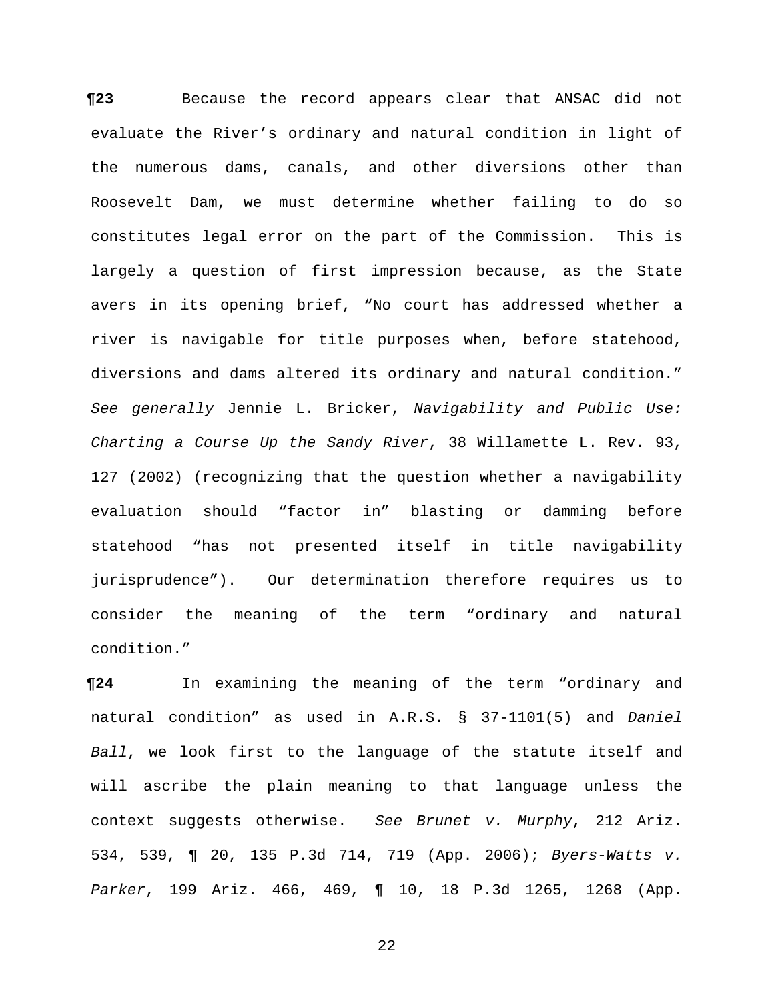**¶23** Because the record appears clear that ANSAC did not evaluate the River's ordinary and natural condition in light of the numerous dams, canals, and other diversions other than Roosevelt Dam, we must determine whether failing to do so constitutes legal error on the part of the Commission. This is largely a question of first impression because, as the State avers in its opening brief, "No court has addressed whether a river is navigable for title purposes when, before statehood, diversions and dams altered its ordinary and natural condition." *See generally* Jennie L. Bricker, *Navigability and Public Use: Charting a Course Up the Sandy River*, 38 Willamette L. Rev. 93, 127 (2002) (recognizing that the question whether a navigability evaluation should "factor in" blasting or damming before statehood "has not presented itself in title navigability jurisprudence"). Our determination therefore requires us to consider the meaning of the term "ordinary and natural condition."

**¶24** In examining the meaning of the term "ordinary and natural condition" as used in A.R.S. § 37-1101(5) and *Daniel Ball*, we look first to the language of the statute itself and will ascribe the plain meaning to that language unless the context suggests otherwise. *See Brunet v. Murphy*, 212 Ariz. 534, 539, ¶ 20, 135 P.3d 714, 719 (App. 2006); *Byers-Watts v. Parker*, 199 Ariz. 466, 469, ¶ 10, 18 P.3d 1265, 1268 (App.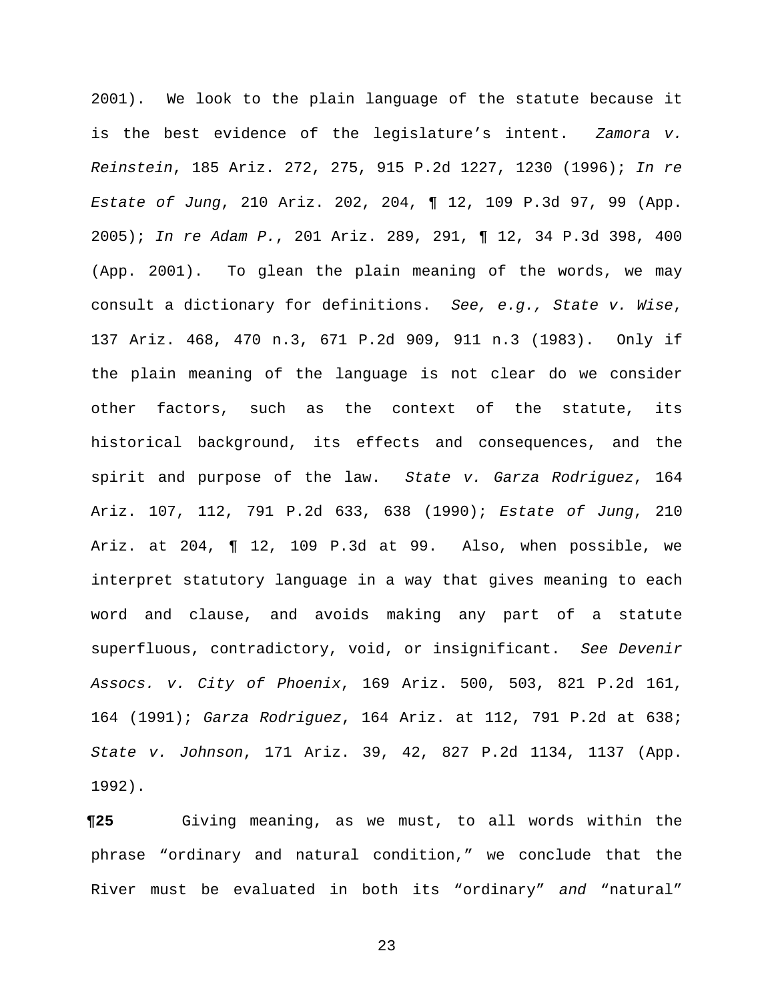2001). We look to the plain language of the statute because it is the best evidence of the legislature's intent. *Zamora v. Reinstein*, 185 Ariz. 272, 275, 915 P.2d 1227, 1230 (1996); *In re Estate of Jung*, 210 Ariz. 202, 204, ¶ 12, 109 P.3d 97, 99 (App. 2005); *In re Adam P.*, 201 Ariz. 289, 291, ¶ 12, 34 P.3d 398, 400 (App. 2001). To glean the plain meaning of the words, we may consult a dictionary for definitions. *See, e.g., State v. Wise*, 137 Ariz. 468, 470 n.3, 671 P.2d 909, 911 n.3 (1983). Only if the plain meaning of the language is not clear do we consider other factors, such as the context of the statute, its historical background, its effects and consequences, and the spirit and purpose of the law. *State v. Garza Rodriguez*, 164 Ariz. 107, 112, 791 P.2d 633, 638 (1990); *Estate of Jung*, 210 Ariz. at 204, ¶ 12, 109 P.3d at 99. Also, when possible, we interpret statutory language in a way that gives meaning to each word and clause, and avoids making any part of a statute superfluous, contradictory, void, or insignificant. *See Devenir Assocs. v. City of Phoenix*, 169 Ariz. 500, 503, 821 P.2d 161, 164 (1991); *Garza Rodriguez*, 164 Ariz. at 112, 791 P.2d at 638; *State v. Johnson*, 171 Ariz. 39, 42, 827 P.2d 1134, 1137 (App. 1992).

**¶25** Giving meaning, as we must, to all words within the phrase "ordinary and natural condition," we conclude that the River must be evaluated in both its "ordinary" *and* "natural"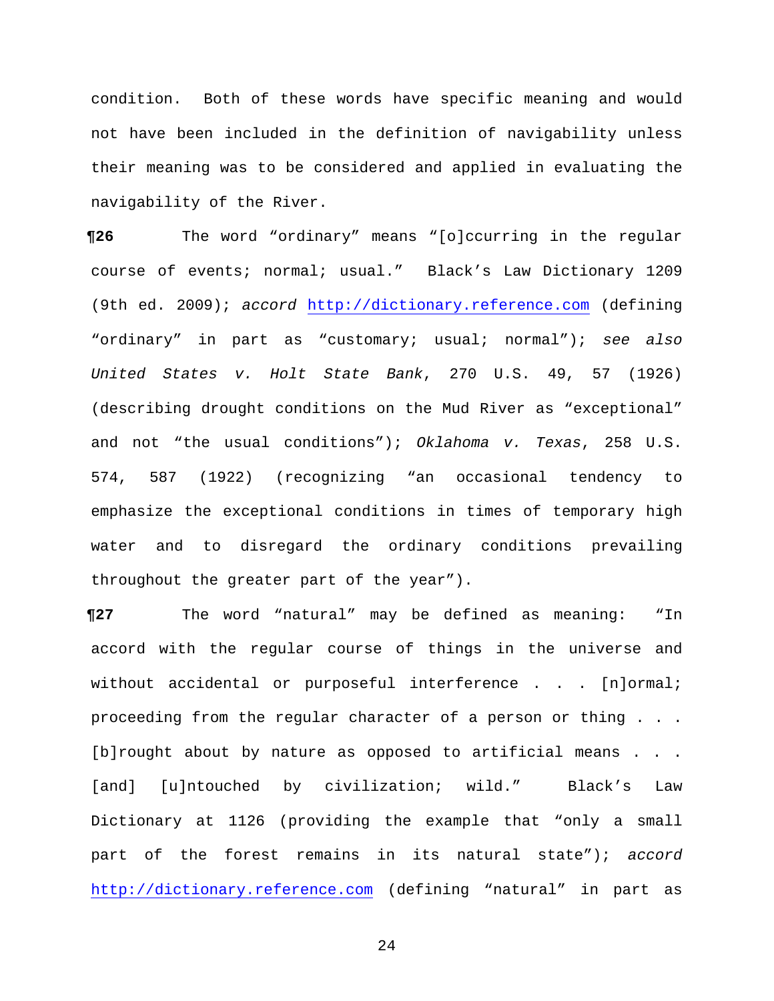condition. Both of these words have specific meaning and would not have been included in the definition of navigability unless their meaning was to be considered and applied in evaluating the navigability of the River.

**¶26** The word "ordinary" means "[o]ccurring in the regular course of events; normal; usual." Black's Law Dictionary 1209 (9th ed. 2009); *accord* [http://dictionary.reference.com](http://dictionary.reference.com/) (defining "ordinary" in part as "customary; usual; normal"); *see also United States v. Holt State Bank*, 270 U.S. 49, 57 (1926) (describing drought conditions on the Mud River as "exceptional" and not "the usual conditions"); *Oklahoma v. Texas*, 258 U.S. 574, 587 (1922) (recognizing "an occasional tendency to emphasize the exceptional conditions in times of temporary high water and to disregard the ordinary conditions prevailing throughout the greater part of the year").

**¶27** The word "natural" may be defined as meaning: "In accord with the regular course of things in the universe and without accidental or purposeful interference . . . [n]ormal; proceeding from the regular character of a person or thing . . . [b]rought about by nature as opposed to artificial means . . . [and] [u]ntouched by civilization; wild." Black's Law Dictionary at 1126 (providing the example that "only a small part of the forest remains in its natural state"); *accord* [http://dictionary.reference.com](http://dictionary.reference.com/) (defining "natural" in part as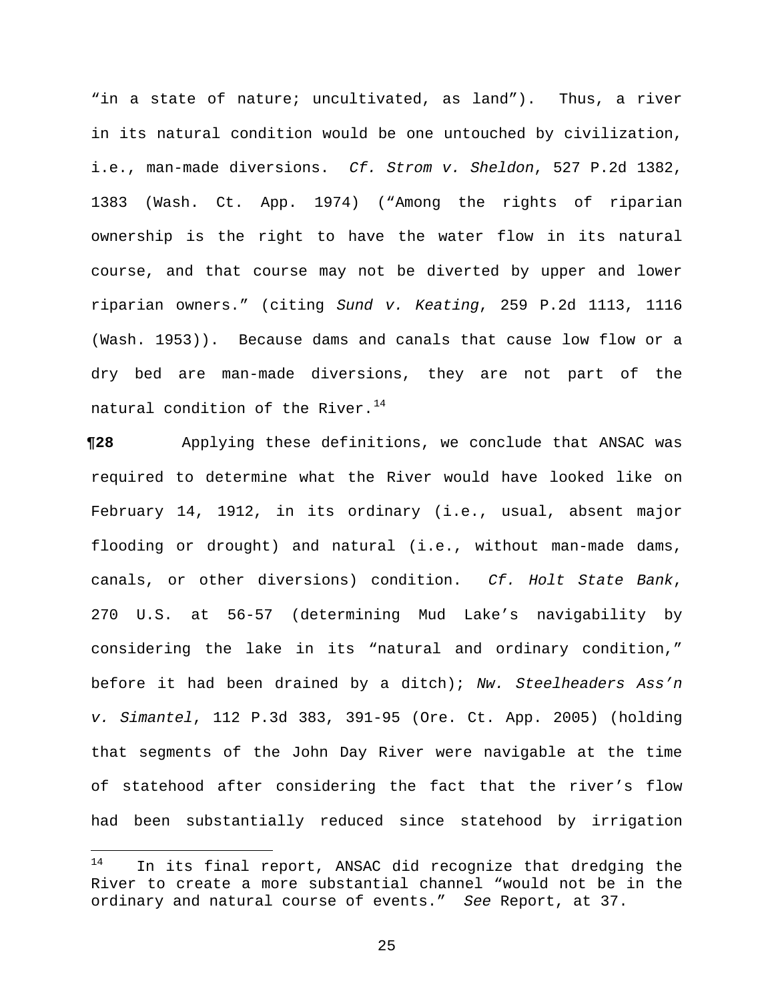"in a state of nature; uncultivated, as land"). Thus, a river in its natural condition would be one untouched by civilization, i.e., man-made diversions. *Cf. Strom v. Sheldon*, 527 P.2d 1382, 1383 (Wash. Ct. App. 1974) ("Among the rights of riparian ownership is the right to have the water flow in its natural course, and that course may not be diverted by upper and lower riparian owners." (citing *Sund v. Keating*, 259 P.2d 1113, 1116 (Wash. 1953)). Because dams and canals that cause low flow or a dry bed are man-made diversions, they are not part of the natural condition of the River.<sup>[14](#page-24-0)</sup>

**¶28** Applying these definitions, we conclude that ANSAC was required to determine what the River would have looked like on February 14, 1912, in its ordinary (i.e., usual, absent major flooding or drought) and natural (i.e., without man-made dams, canals, or other diversions) condition. *Cf. Holt State Bank*, 270 U.S. at 56-57 (determining Mud Lake's navigability by considering the lake in its "natural and ordinary condition," before it had been drained by a ditch); *Nw. Steelheaders Ass'n v. Simantel*, 112 P.3d 383, 391-95 (Ore. Ct. App. 2005) (holding that segments of the John Day River were navigable at the time of statehood after considering the fact that the river's flow had been substantially reduced since statehood by irrigation

<span id="page-24-0"></span><sup>14</sup> In its final report, ANSAC did recognize that dredging the River to create a more substantial channel "would not be in the ordinary and natural course of events." *See* Report, at 37.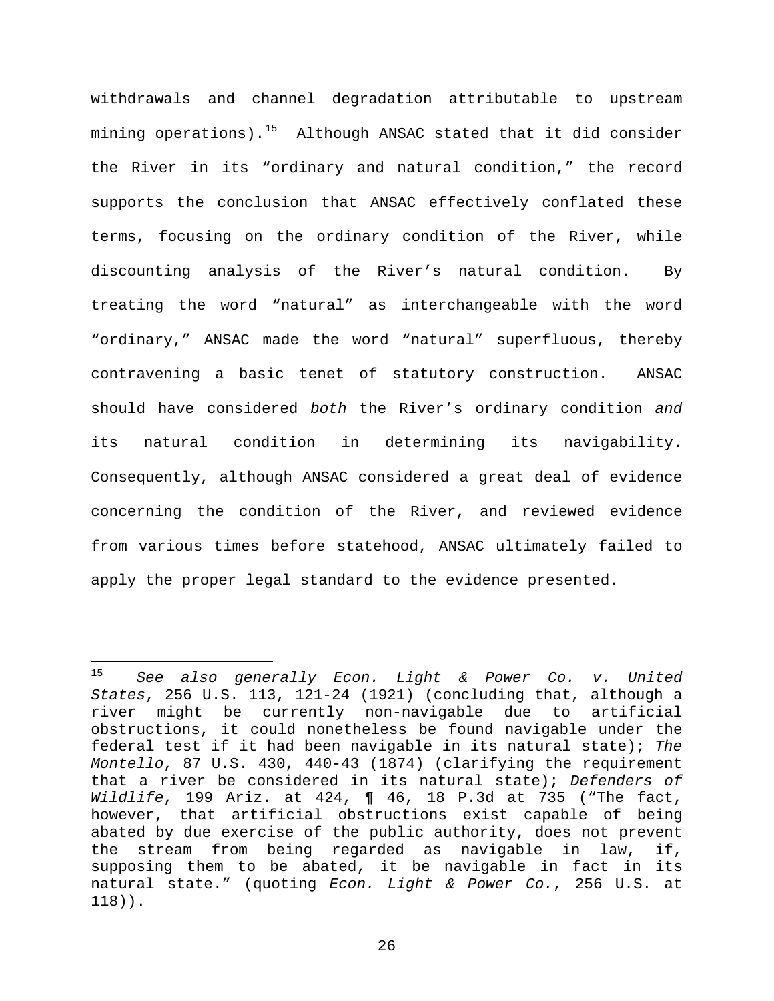withdrawals and channel degradation attributable to upstream mining operations).<sup>[15](#page-25-0)</sup> Although ANSAC stated that it did consider the River in its "ordinary and natural condition," the record supports the conclusion that ANSAC effectively conflated these terms, focusing on the ordinary condition of the River, while discounting analysis of the River's natural condition. By treating the word "natural" as interchangeable with the word "ordinary," ANSAC made the word "natural" superfluous, thereby contravening a basic tenet of statutory construction. ANSAC should have considered *both* the River's ordinary condition *and* its natural condition in determining its navigability. Consequently, although ANSAC considered a great deal of evidence concerning the condition of the River, and reviewed evidence from various times before statehood, ANSAC ultimately failed to apply the proper legal standard to the evidence presented.

<span id="page-25-0"></span> $15$ <sup>15</sup> *See also generally Econ. Light & Power Co. v. United States*, 256 U.S. 113, 121-24 (1921) (concluding that, although a river might be currently non-navigable due to artificial obstructions, it could nonetheless be found navigable under the federal test if it had been navigable in its natural state); *The Montello*, 87 U.S. 430, 440-43 (1874) (clarifying the requirement that a river be considered in its natural state); *Defenders of Wildlife*, 199 Ariz. at 424, ¶ 46, 18 P.3d at 735 ("The fact, however, that artificial obstructions exist capable of being abated by due exercise of the public authority, does not prevent the stream from being regarded as navigable in law, if, supposing them to be abated, it be navigable in fact in its natural state." (quoting *Econ. Light & Power Co.*, 256 U.S. at 118)).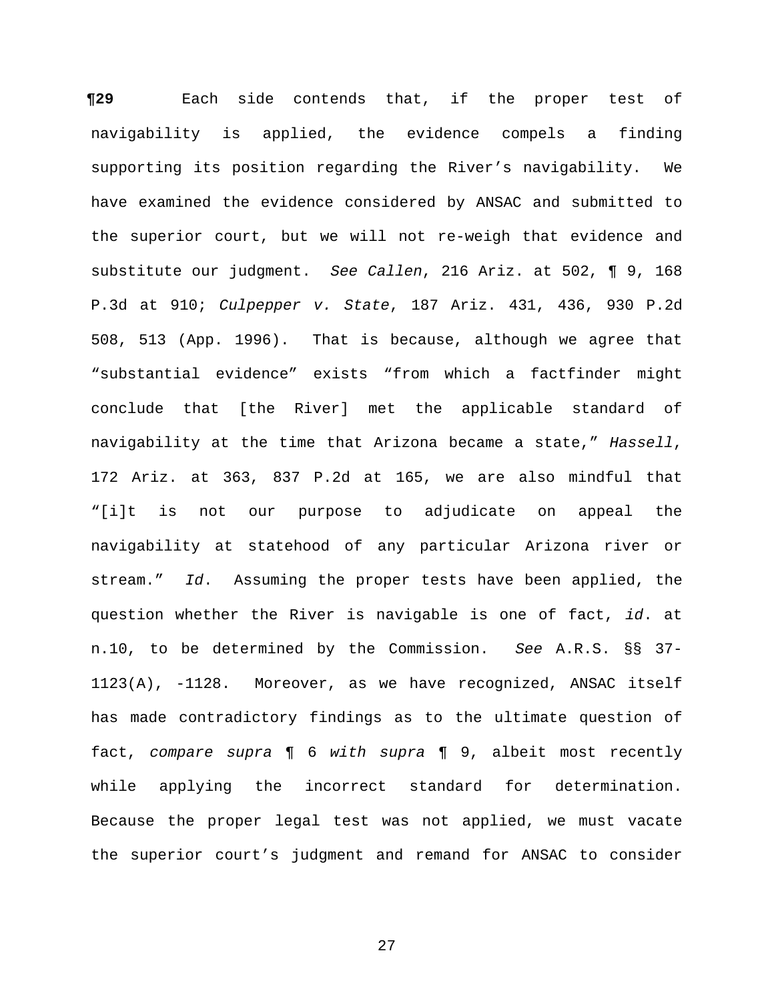**¶29** Each side contends that, if the proper test of navigability is applied, the evidence compels a finding supporting its position regarding the River's navigability. We have examined the evidence considered by ANSAC and submitted to the superior court, but we will not re-weigh that evidence and substitute our judgment. *See Callen*, 216 Ariz. at 502, ¶ 9, 168 P.3d at 910; *Culpepper v. State*, 187 Ariz. 431, 436, 930 P.2d 508, 513 (App. 1996). That is because, although we agree that "substantial evidence" exists "from which a factfinder might conclude that [the River] met the applicable standard of navigability at the time that Arizona became a state," *Hassell*, 172 Ariz. at 363, 837 P.2d at 165, we are also mindful that "[i]t is not our purpose to adjudicate on appeal the navigability at statehood of any particular Arizona river or stream." *Id*. Assuming the proper tests have been applied, the question whether the River is navigable is one of fact, *id*. at n.10, to be determined by the Commission. *See* A.R.S. §§ 37- 1123(A), -1128. Moreover, as we have recognized, ANSAC itself has made contradictory findings as to the ultimate question of fact, *compare supra* ¶ 6 *with supra* ¶ 9, albeit most recently while applying the incorrect standard for determination. Because the proper legal test was not applied, we must vacate the superior court's judgment and remand for ANSAC to consider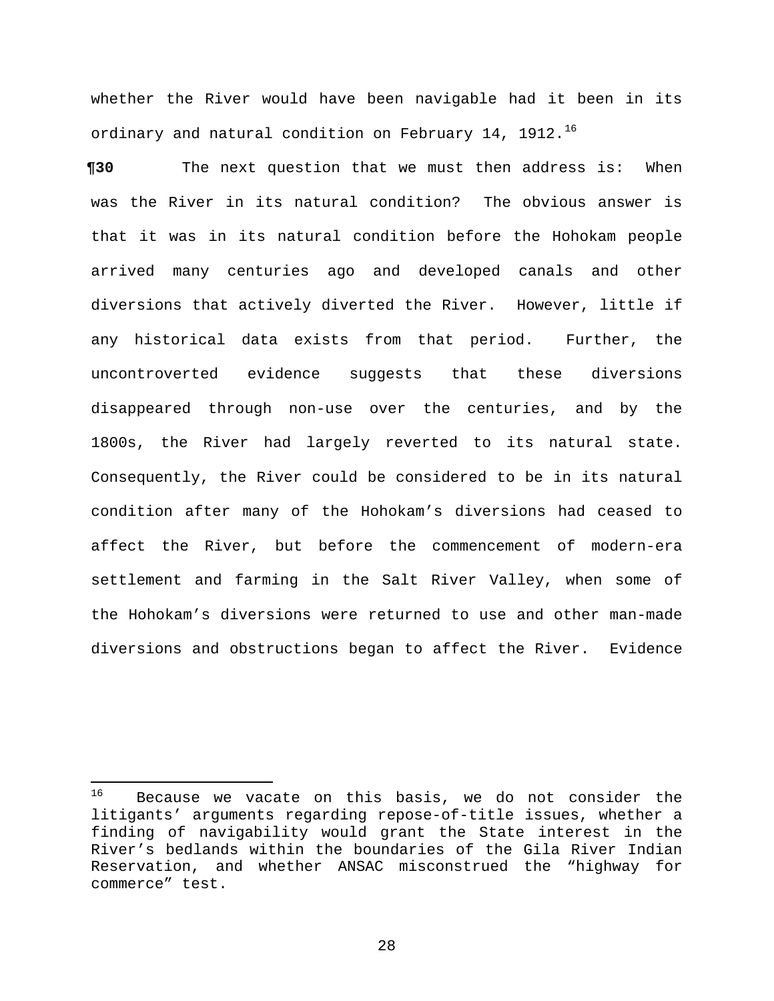whether the River would have been navigable had it been in its ordinary and natural condition on February 14, 1912.<sup>[16](#page-27-0)</sup>

**¶30** The next question that we must then address is: When was the River in its natural condition? The obvious answer is that it was in its natural condition before the Hohokam people arrived many centuries ago and developed canals and other diversions that actively diverted the River. However, little if any historical data exists from that period. Further, the uncontroverted evidence suggests that these diversions disappeared through non-use over the centuries, and by the 1800s, the River had largely reverted to its natural state. Consequently, the River could be considered to be in its natural condition after many of the Hohokam's diversions had ceased to affect the River, but before the commencement of modern-era settlement and farming in the Salt River Valley, when some of the Hohokam's diversions were returned to use and other man-made diversions and obstructions began to affect the River. Evidence

<span id="page-27-0"></span><sup>16</sup> Because we vacate on this basis, we do not consider the litigants' arguments regarding repose-of-title issues, whether a finding of navigability would grant the State interest in the River's bedlands within the boundaries of the Gila River Indian Reservation, and whether ANSAC misconstrued the "highway for commerce" test.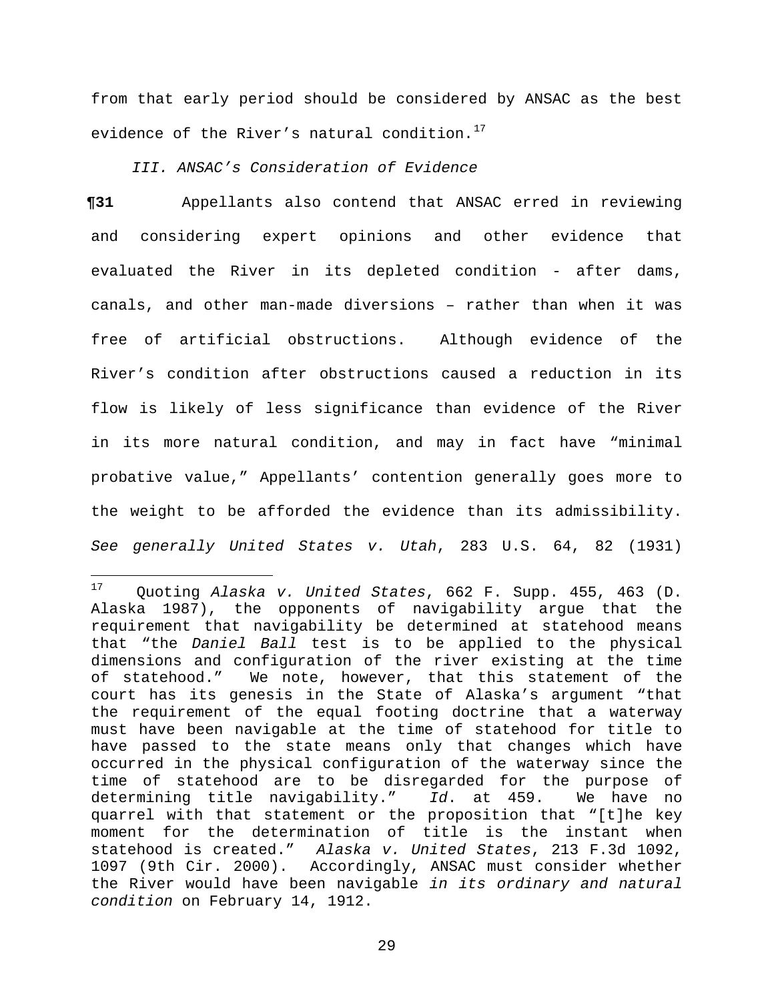from that early period should be considered by ANSAC as the best evidence of the River's natural condition.<sup>[17](#page-28-0)</sup>

# *III. ANSAC's Consideration of Evidence*

**¶31** Appellants also contend that ANSAC erred in reviewing and considering expert opinions and other evidence that evaluated the River in its depleted condition - after dams, canals, and other man-made diversions – rather than when it was free of artificial obstructions. Although evidence of the River's condition after obstructions caused a reduction in its flow is likely of less significance than evidence of the River in its more natural condition, and may in fact have "minimal probative value," Appellants' contention generally goes more to the weight to be afforded the evidence than its admissibility. *See generally United States v. Utah*, 283 U.S. 64, 82 (1931)

<span id="page-28-0"></span> $17$ <sup>17</sup> Quoting *Alaska v. United States*, 662 F. Supp. 455, 463 (D. Alaska 1987), the opponents of navigability argue that the requirement that navigability be determined at statehood means that "the *Daniel Ball* test is to be applied to the physical dimensions and configuration of the river existing at the time of statehood." We note, however, that this statement of the court has its genesis in the State of Alaska's argument "that the requirement of the equal footing doctrine that a waterway must have been navigable at the time of statehood for title to have passed to the state means only that changes which have occurred in the physical configuration of the waterway since the time of statehood are to be disregarded for the purpose of determining title navigability." *Id*. at 459. We have no quarrel with that statement or the proposition that "[t]he key moment for the determination of title is the instant when statehood is created." *Alaska v. United States*, 213 F.3d 1092, 1097 (9th Cir. 2000). Accordingly, ANSAC must consider whether the River would have been navigable *in its ordinary and natural condition* on February 14, 1912.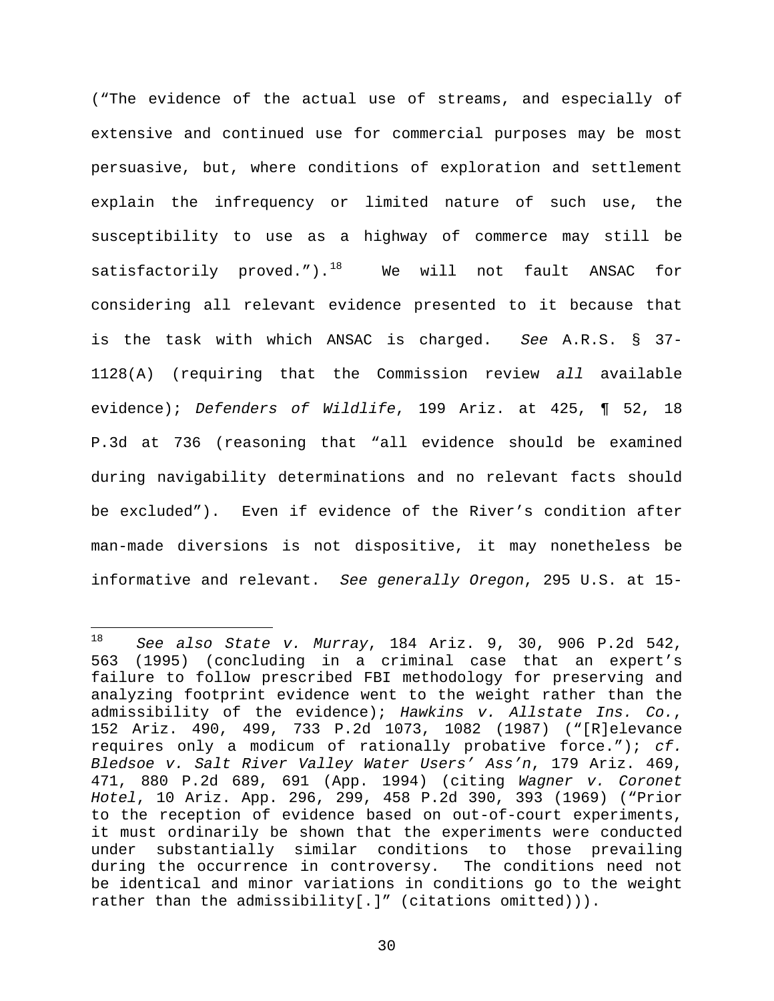("The evidence of the actual use of streams, and especially of extensive and continued use for commercial purposes may be most persuasive, but, where conditions of exploration and settlement explain the infrequency or limited nature of such use, the susceptibility to use as a highway of commerce may still be satisfactorily proved.").<sup>[18](#page-29-0)</sup> We will not fault ANSAC for considering all relevant evidence presented to it because that is the task with which ANSAC is charged. *See* A.R.S. § 37- 1128(A) (requiring that the Commission review *all* available evidence); *Defenders of Wildlife*, 199 Ariz. at 425, ¶ 52, 18 P.3d at 736 (reasoning that "all evidence should be examined during navigability determinations and no relevant facts should be excluded"). Even if evidence of the River's condition after man-made diversions is not dispositive, it may nonetheless be informative and relevant. *See generally Oregon*, 295 U.S. at 15-

<span id="page-29-0"></span><sup>18</sup> <sup>18</sup> *See also State v. Murray*, 184 Ariz. 9, 30, 906 P.2d 542, 563 (1995) (concluding in a criminal case that an expert's failure to follow prescribed FBI methodology for preserving and analyzing footprint evidence went to the weight rather than the admissibility of the evidence); *Hawkins v. Allstate Ins. Co.*, 152 Ariz. 490, 499, 733 P.2d 1073, 1082 (1987) ("[R]elevance requires only a modicum of rationally probative force."); *cf. Bledsoe v. Salt River Valley Water Users' Ass'n*, 179 Ariz. 469, 471, 880 P.2d 689, 691 (App. 1994) (citing *Wagner v. Coronet Hotel*, 10 Ariz. App. 296, 299, 458 P.2d 390, 393 (1969) ("Prior to the reception of evidence based on out-of-court experiments, it must ordinarily be shown that the experiments were conducted under substantially similar conditions to those prevailing during the occurrence in controversy. The conditions need not be identical and minor variations in conditions go to the weight rather than the admissibility[.]" (citations omitted))).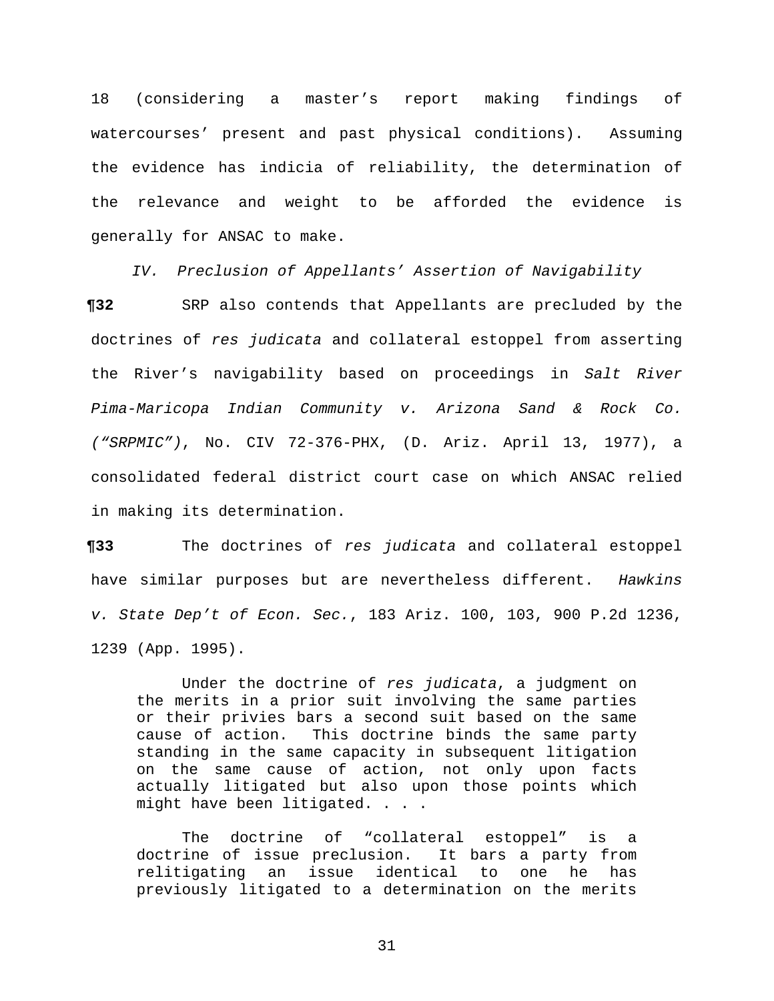18 (considering a master's report making findings of watercourses' present and past physical conditions). Assuming the evidence has indicia of reliability, the determination of the relevance and weight to be afforded the evidence is generally for ANSAC to make.

*IV. Preclusion of Appellants' Assertion of Navigability*

**¶32** SRP also contends that Appellants are precluded by the doctrines of *res judicata* and collateral estoppel from asserting the River's navigability based on proceedings in *Salt River Pima-Maricopa Indian Community v. Arizona Sand & Rock Co. ("SRPMIC")*, No. CIV 72-376-PHX, (D. Ariz. April 13, 1977), a consolidated federal district court case on which ANSAC relied in making its determination.

**¶33** The doctrines of *res judicata* and collateral estoppel have similar purposes but are nevertheless different. *Hawkins v. State Dep't of Econ. Sec.*, 183 Ariz. 100, 103, 900 P.2d 1236, 1239 (App. 1995).

 Under the doctrine of *res judicata*, a judgment on the merits in a prior suit involving the same parties or their privies bars a second suit based on the same<br>cause of action. This doctrine binds the same party This doctrine binds the same party standing in the same capacity in subsequent litigation on the same cause of action, not only upon facts actually litigated but also upon those points which might have been litigated. . . .

 The doctrine of "collateral estoppel" is a doctrine of issue preclusion. It bars a party from relitigating an issue identical to one he has previously litigated to a determination on the merits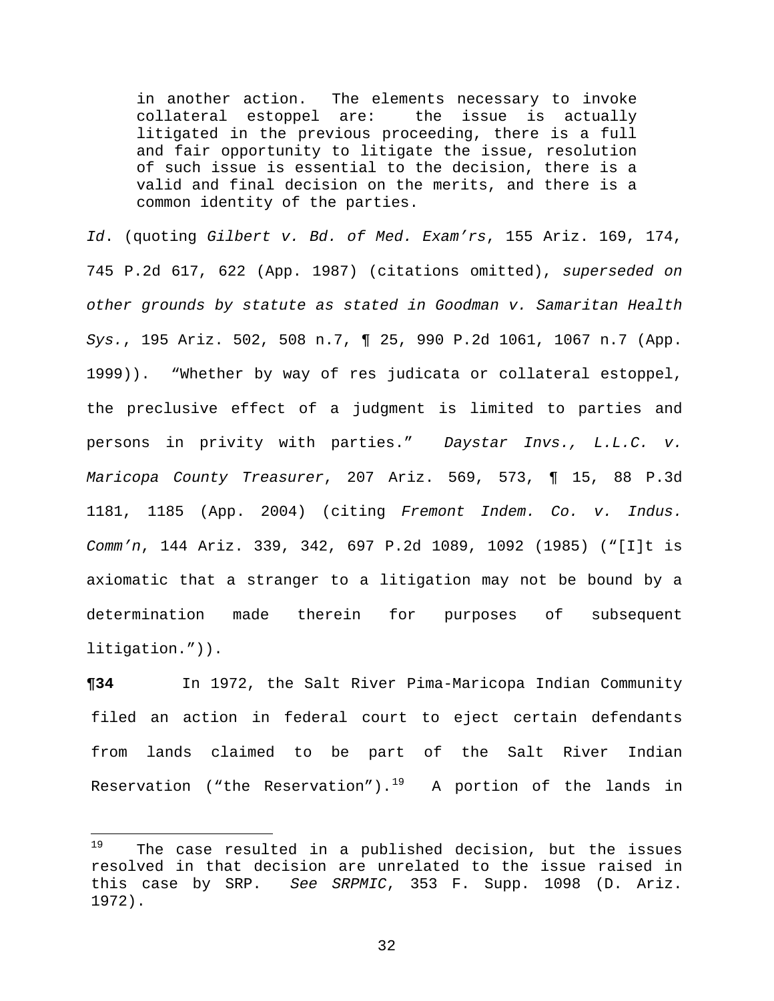in another action. The elements necessary to invoke collateral estoppel are: the issue is actually litigated in the previous proceeding, there is a full and fair opportunity to litigate the issue, resolution of such issue is essential to the decision, there is a valid and final decision on the merits, and there is a common identity of the parties.

*Id*. (quoting *Gilbert v. Bd. of Med. Exam'rs*, 155 Ariz. 169, 174, 745 P.2d 617, 622 (App. 1987) (citations omitted), *superseded on other grounds by statute as stated in Goodman v. Samaritan Health Sys.*, 195 Ariz. 502, 508 n.7, ¶ 25, 990 P.2d 1061, 1067 n.7 (App. 1999)). "Whether by way of res judicata or collateral estoppel, the preclusive effect of a judgment is limited to parties and persons in privity with parties." *Daystar Invs., L.L.C. v. Maricopa County Treasurer*, 207 Ariz. 569, 573, ¶ 15, 88 P.3d 1181, 1185 (App. 2004) (citing *Fremont Indem. Co. v. Indus. Comm'n*, 144 Ariz. 339, 342, 697 P.2d 1089, 1092 (1985) ("[I]t is axiomatic that a stranger to a litigation may not be bound by a determination made therein for purposes of subsequent litigation.")).

**¶34** In 1972, the Salt River Pima-Maricopa Indian Community filed an action in federal court to eject certain defendants from lands claimed to be part of the Salt River Indian Reservation ("the Reservation").<sup>[19](#page-31-0)</sup> A portion of the lands in

<span id="page-31-0"></span><sup>19</sup> The case resulted in a published decision, but the issues resolved in that decision are unrelated to the issue raised in this case by SRP. *See SRPMIC*, 353 F. Supp. 1098 (D. Ariz. 1972).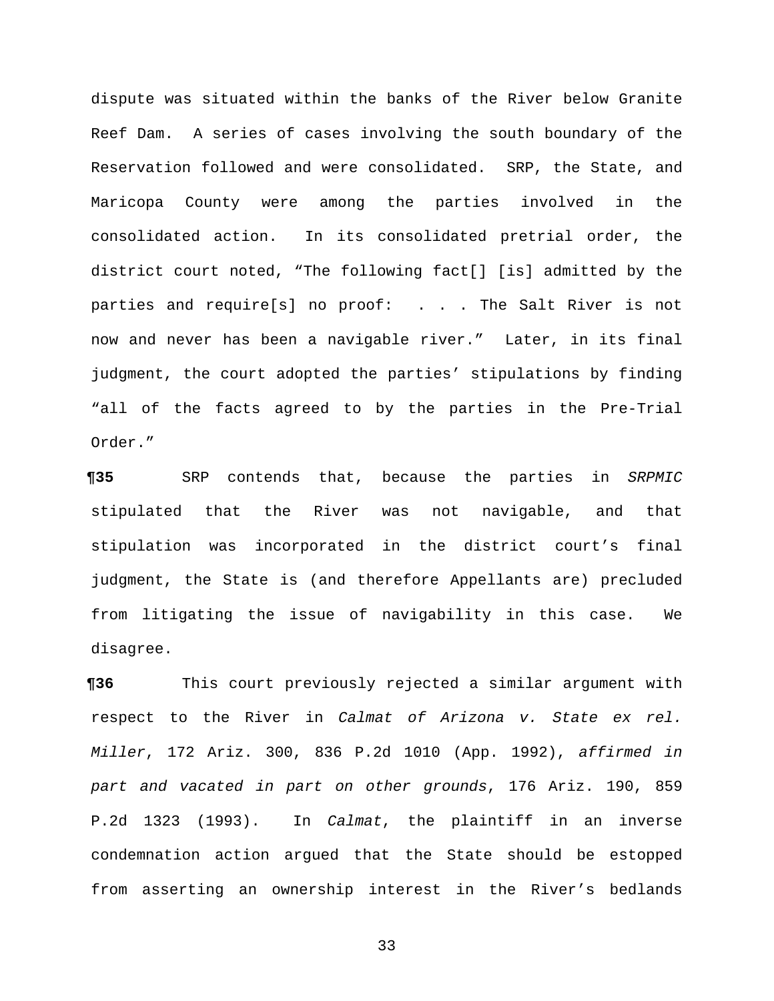dispute was situated within the banks of the River below Granite Reef Dam. A series of cases involving the south boundary of the Reservation followed and were consolidated. SRP, the State, and Maricopa County were among the parties involved in the consolidated action. In its consolidated pretrial order, the district court noted, "The following fact[] [is] admitted by the parties and require[s] no proof: . . . The Salt River is not now and never has been a navigable river." Later, in its final judgment, the court adopted the parties' stipulations by finding "all of the facts agreed to by the parties in the Pre-Trial Order."

**¶35** SRP contends that, because the parties in *SRPMIC* stipulated that the River was not navigable, and that stipulation was incorporated in the district court's final judgment, the State is (and therefore Appellants are) precluded from litigating the issue of navigability in this case. We disagree.

**¶36** This court previously rejected a similar argument with respect to the River in *Calmat of Arizona v. State ex rel. Miller*, 172 Ariz. 300, 836 P.2d 1010 (App. 1992), *affirmed in part and vacated in part on other grounds*, 176 Ariz. 190, 859 P.2d 1323 (1993). In *Calmat*, the plaintiff in an inverse condemnation action argued that the State should be estopped from asserting an ownership interest in the River's bedlands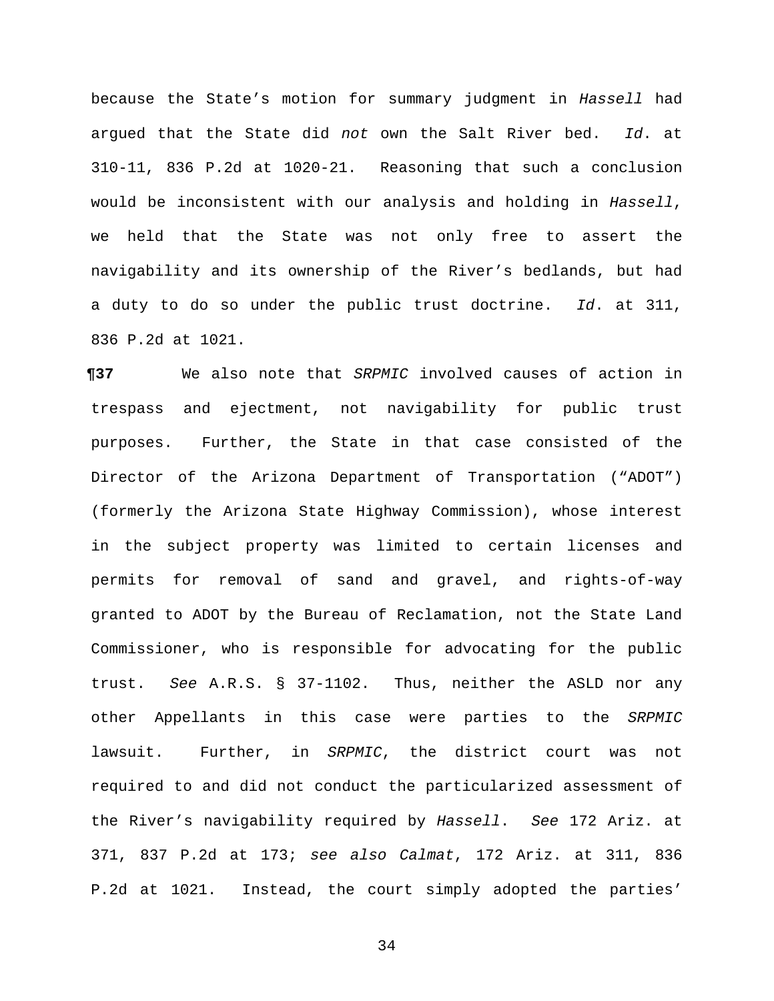because the State's motion for summary judgment in *Hassell* had argued that the State did *not* own the Salt River bed. *Id*. at 310-11, 836 P.2d at 1020-21. Reasoning that such a conclusion would be inconsistent with our analysis and holding in *Hassell*, we held that the State was not only free to assert the navigability and its ownership of the River's bedlands, but had a duty to do so under the public trust doctrine. *Id*. at 311, 836 P.2d at 1021.

**¶37** We also note that *SRPMIC* involved causes of action in trespass and ejectment, not navigability for public trust purposes. Further, the State in that case consisted of the Director of the Arizona Department of Transportation ("ADOT") (formerly the Arizona State Highway Commission), whose interest in the subject property was limited to certain licenses and permits for removal of sand and gravel, and rights-of-way granted to ADOT by the Bureau of Reclamation, not the State Land Commissioner, who is responsible for advocating for the public trust. *See* A.R.S. § 37-1102. Thus, neither the ASLD nor any other Appellants in this case were parties to the *SRPMIC* lawsuit. Further, in *SRPMIC*, the district court was not required to and did not conduct the particularized assessment of the River's navigability required by *Hassell*. *See* 172 Ariz. at 371, 837 P.2d at 173; *see also Calmat*, 172 Ariz. at 311, 836 P.2d at 1021. Instead, the court simply adopted the parties'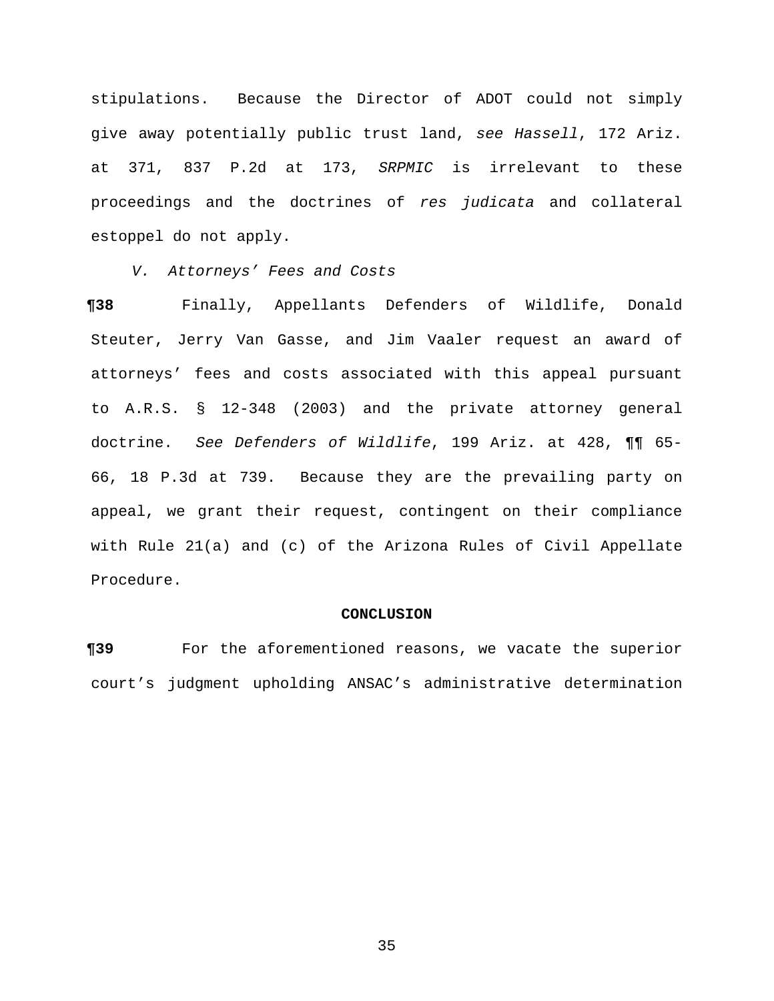stipulations. Because the Director of ADOT could not simply give away potentially public trust land, *see Hassell*, 172 Ariz. at 371, 837 P.2d at 173, *SRPMIC* is irrelevant to these proceedings and the doctrines of *res judicata* and collateral estoppel do not apply.

*V. Attorneys' Fees and Costs*

**¶38** Finally, Appellants Defenders of Wildlife, Donald Steuter, Jerry Van Gasse, and Jim Vaaler request an award of attorneys' fees and costs associated with this appeal pursuant to A.R.S. § 12-348 (2003) and the private attorney general doctrine. *See Defenders of Wildlife*, 199 Ariz. at 428, ¶¶ 65- 66, 18 P.3d at 739. Because they are the prevailing party on appeal, we grant their request, contingent on their compliance with Rule 21(a) and (c) of the Arizona Rules of Civil Appellate Procedure.

### **CONCLUSION**

**¶39** For the aforementioned reasons, we vacate the superior court's judgment upholding ANSAC's administrative determination